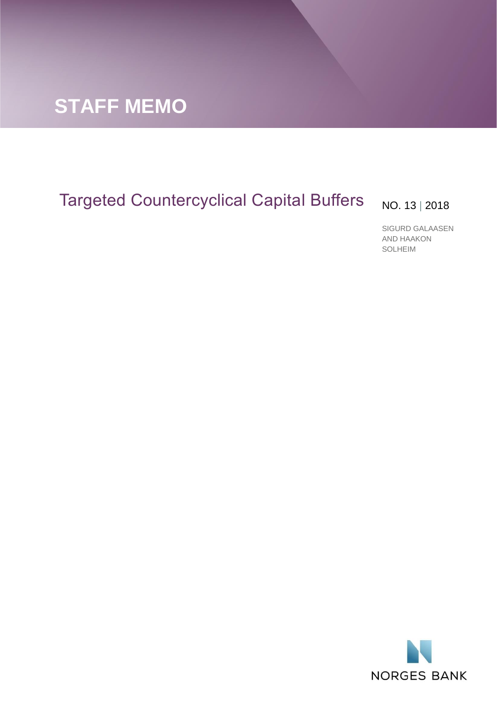

# Targeted Countercyclical Capital Buffers No. 13 | 2018

SIGURD GALAASEN AND HAAKON SOLHEIM

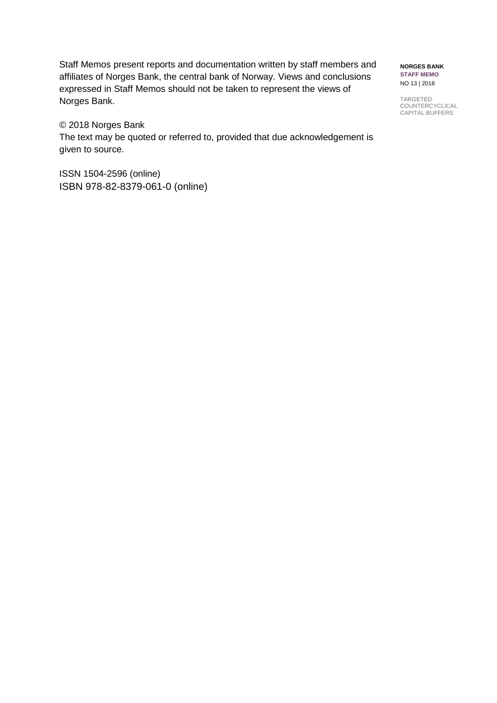Staff Memos present reports and documentation written by staff members and affiliates of Norges Bank, the central bank of Norway. Views and conclusions expressed in Staff Memos should not be taken to represent the views of Norges Bank.

# © 2018 Norges Bank

The text may be quoted or referred to, provided that due acknowledgement is given to source.

ISSN 1504-2596 (online) ISBN 978-82-8379-061-0 (online)

**NORGES BANK STAFF MEMO** NO 13 | 2018

TARGETED **COUNTERCYCLICAL** CAPITAL BUFFERS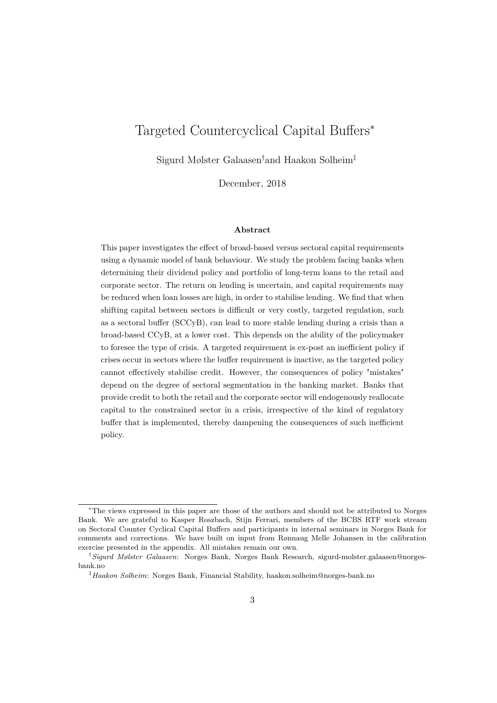# Targeted Countercyclical Capital Buffers<sup>∗</sup>

Sigurd Mølster Galaasen†and Haakon Solheim‡

December, 2018

#### **Abstract**

This paper investigates the effect of broad-based versus sectoral capital requirements using a dynamic model of bank behaviour. We study the problem facing banks when determining their dividend policy and portfolio of long-term loans to the retail and corporate sector. The return on lending is uncertain, and capital requirements may be reduced when loan losses are high, in order to stabilise lending. We find that when shifting capital between sectors is difficult or very costly, targeted regulation, such as a sectoral buffer (SCCyB), can lead to more stable lending during a crisis than a broad-based CCyB, at a lower cost. This depends on the ability of the policymaker to foresee the type of crisis. A targeted requirement is ex-post an inefficient policy if crises occur in sectors where the buffer requirement is inactive, as the targeted policy cannot effectively stabilise credit. However, the consequences of policy "mistakes" depend on the degree of sectoral segmentation in the banking market. Banks that provide credit to both the retail and the corporate sector will endogenously reallocate capital to the constrained sector in a crisis, irrespective of the kind of regulatory buffer that is implemented, thereby dampening the consequences of such inefficient policy.

<sup>∗</sup>The views expressed in this paper are those of the authors and should not be attributed to Norges Bank. We are grateful to Kasper Roszbach, Stijn Ferrari, members of the BCBS RTF work stream on Sectoral Counter Cyclical Capital Buffers and participants in internal seminars in Norges Bank for comments and corrections. We have built on input from Rønnaug Melle Johansen in the calibration exercise presented in the appendix. All mistakes remain our own.

<sup>†</sup>*Sigurd Mølster Galaasen*: Norges Bank, Norges Bank Research, sigurd-molster.galaasen@norgesbank.no

<sup>‡</sup>*Haakon Solheim*: Norges Bank, Financial Stability, haakon.solheim@norges-bank.no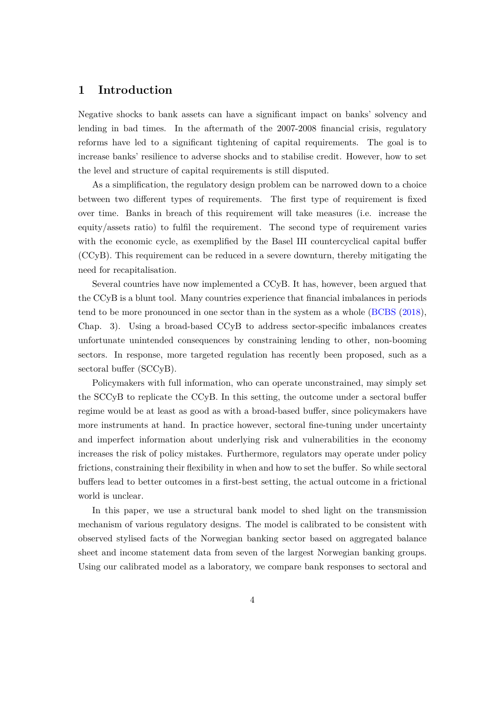# **1 Introduction**

Negative shocks to bank assets can have a significant impact on banks' solvency and lending in bad times. In the aftermath of the 2007-2008 financial crisis, regulatory reforms have led to a significant tightening of capital requirements. The goal is to increase banks' resilience to adverse shocks and to stabilise credit. However, how to set the level and structure of capital requirements is still disputed.

As a simplification, the regulatory design problem can be narrowed down to a choice between two different types of requirements. The first type of requirement is fixed over time. Banks in breach of this requirement will take measures (i.e. increase the equity/assets ratio) to fulfil the requirement. The second type of requirement varies with the economic cycle, as exemplified by the Basel III countercyclical capital buffer (CCyB). This requirement can be reduced in a severe downturn, thereby mitigating the need for recapitalisation.

Several countries have now implemented a CCyB. It has, however, been argued that the CCyB is a blunt tool. Many countries experience that financial imbalances in periods tend to be more pronounced in one sector than in the system as a whole [\(BCBS](#page-39-0) [\(2018\)](#page-39-0), Chap. 3). Using a broad-based CCyB to address sector-specific imbalances creates unfortunate unintended consequences by constraining lending to other, non-booming sectors. In response, more targeted regulation has recently been proposed, such as a sectoral buffer (SCCyB).

Policymakers with full information, who can operate unconstrained, may simply set the SCCyB to replicate the CCyB. In this setting, the outcome under a sectoral buffer regime would be at least as good as with a broad-based buffer, since policymakers have more instruments at hand. In practice however, sectoral fine-tuning under uncertainty and imperfect information about underlying risk and vulnerabilities in the economy increases the risk of policy mistakes. Furthermore, regulators may operate under policy frictions, constraining their flexibility in when and how to set the buffer. So while sectoral buffers lead to better outcomes in a first-best setting, the actual outcome in a frictional world is unclear.

In this paper, we use a structural bank model to shed light on the transmission mechanism of various regulatory designs. The model is calibrated to be consistent with observed stylised facts of the Norwegian banking sector based on aggregated balance sheet and income statement data from seven of the largest Norwegian banking groups. Using our calibrated model as a laboratory, we compare bank responses to sectoral and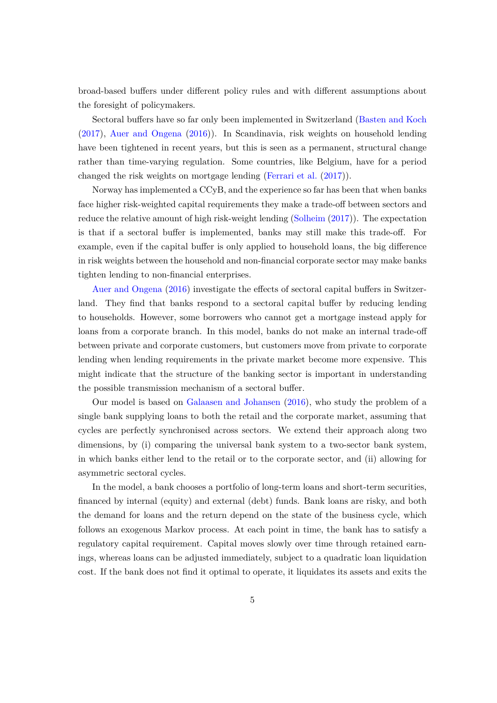broad-based buffers under different policy rules and with different assumptions about the foresight of policymakers.

Sectoral buffers have so far only been implemented in Switzerland [\(Basten and Koch](#page-39-1) [\(2017\)](#page-39-1), [Auer and Ongena](#page-39-2) [\(2016\)](#page-39-2)). In Scandinavia, risk weights on household lending have been tightened in recent years, but this is seen as a permanent, structural change rather than time-varying regulation. Some countries, like Belgium, have for a period changed the risk weights on mortgage lending [\(Ferrari et al.](#page-40-0) [\(2017\)](#page-40-0)).

Norway has implemented a CCyB, and the experience so far has been that when banks face higher risk-weighted capital requirements they make a trade-off between sectors and reduce the relative amount of high risk-weight lending [\(Solheim](#page-40-1) [\(2017\)](#page-40-1)). The expectation is that if a sectoral buffer is implemented, banks may still make this trade-off. For example, even if the capital buffer is only applied to household loans, the big difference in risk weights between the household and non-financial corporate sector may make banks tighten lending to non-financial enterprises.

[Auer and Ongena](#page-39-2) [\(2016\)](#page-39-2) investigate the effects of sectoral capital buffers in Switzerland. They find that banks respond to a sectoral capital buffer by reducing lending to households. However, some borrowers who cannot get a mortgage instead apply for loans from a corporate branch. In this model, banks do not make an internal trade-off between private and corporate customers, but customers move from private to corporate lending when lending requirements in the private market become more expensive. This might indicate that the structure of the banking sector is important in understanding the possible transmission mechanism of a sectoral buffer.

Our model is based on [Galaasen and Johansen](#page-40-2) [\(2016\)](#page-40-2), who study the problem of a single bank supplying loans to both the retail and the corporate market, assuming that cycles are perfectly synchronised across sectors. We extend their approach along two dimensions, by (i) comparing the universal bank system to a two-sector bank system, in which banks either lend to the retail or to the corporate sector, and (ii) allowing for asymmetric sectoral cycles.

In the model, a bank chooses a portfolio of long-term loans and short-term securities, financed by internal (equity) and external (debt) funds. Bank loans are risky, and both the demand for loans and the return depend on the state of the business cycle, which follows an exogenous Markov process. At each point in time, the bank has to satisfy a regulatory capital requirement. Capital moves slowly over time through retained earnings, whereas loans can be adjusted immediately, subject to a quadratic loan liquidation cost. If the bank does not find it optimal to operate, it liquidates its assets and exits the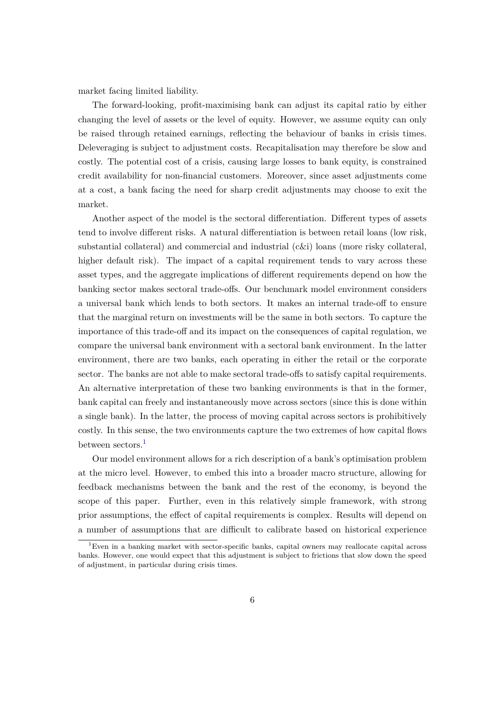market facing limited liability.

The forward-looking, profit-maximising bank can adjust its capital ratio by either changing the level of assets or the level of equity. However, we assume equity can only be raised through retained earnings, reflecting the behaviour of banks in crisis times. Deleveraging is subject to adjustment costs. Recapitalisation may therefore be slow and costly. The potential cost of a crisis, causing large losses to bank equity, is constrained credit availability for non-financial customers. Moreover, since asset adjustments come at a cost, a bank facing the need for sharp credit adjustments may choose to exit the market.

Another aspect of the model is the sectoral differentiation. Different types of assets tend to involve different risks. A natural differentiation is between retail loans (low risk, substantial collateral) and commercial and industrial (c&i) loans (more risky collateral, higher default risk). The impact of a capital requirement tends to vary across these asset types, and the aggregate implications of different requirements depend on how the banking sector makes sectoral trade-offs. Our benchmark model environment considers a universal bank which lends to both sectors. It makes an internal trade-off to ensure that the marginal return on investments will be the same in both sectors. To capture the importance of this trade-off and its impact on the consequences of capital regulation, we compare the universal bank environment with a sectoral bank environment. In the latter environment, there are two banks, each operating in either the retail or the corporate sector. The banks are not able to make sectoral trade-offs to satisfy capital requirements. An alternative interpretation of these two banking environments is that in the former, bank capital can freely and instantaneously move across sectors (since this is done within a single bank). In the latter, the process of moving capital across sectors is prohibitively costly. In this sense, the two environments capture the two extremes of how capital flows between sectors.<sup>[1](#page-5-0)</sup>

Our model environment allows for a rich description of a bank's optimisation problem at the micro level. However, to embed this into a broader macro structure, allowing for feedback mechanisms between the bank and the rest of the economy, is beyond the scope of this paper. Further, even in this relatively simple framework, with strong prior assumptions, the effect of capital requirements is complex. Results will depend on a number of assumptions that are difficult to calibrate based on historical experience

<span id="page-5-0"></span><sup>1</sup>Even in a banking market with sector-specific banks, capital owners may reallocate capital across banks. However, one would expect that this adjustment is subject to frictions that slow down the speed of adjustment, in particular during crisis times.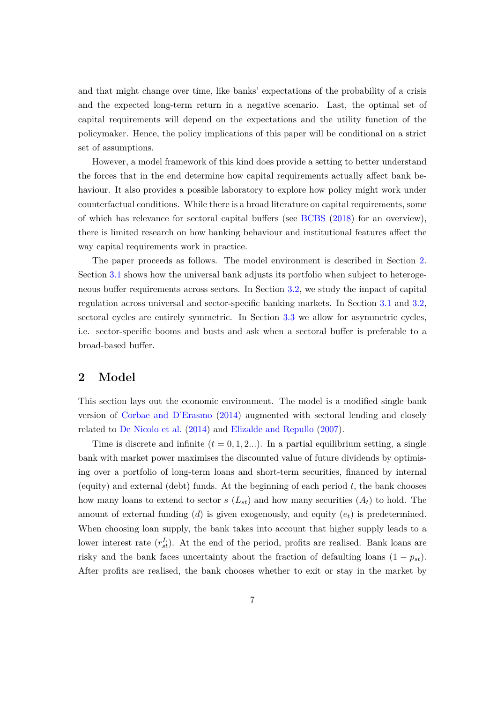and that might change over time, like banks' expectations of the probability of a crisis and the expected long-term return in a negative scenario. Last, the optimal set of capital requirements will depend on the expectations and the utility function of the policymaker. Hence, the policy implications of this paper will be conditional on a strict set of assumptions.

However, a model framework of this kind does provide a setting to better understand the forces that in the end determine how capital requirements actually affect bank behaviour. It also provides a possible laboratory to explore how policy might work under counterfactual conditions. While there is a broad literature on capital requirements, some of which has relevance for sectoral capital buffers (see [BCBS](#page-39-0) [\(2018\)](#page-39-0) for an overview), there is limited research on how banking behaviour and institutional features affect the way capital requirements work in practice.

The paper proceeds as follows. The model environment is described in Section [2.](#page-6-0) Section [3.1](#page-14-0) shows how the universal bank adjusts its portfolio when subject to heterogeneous buffer requirements across sectors. In Section [3.2,](#page-15-0) we study the impact of capital regulation across universal and sector-specific banking markets. In Section [3.1](#page-14-0) and [3.2,](#page-15-0) sectoral cycles are entirely symmetric. In Section [3.3](#page-19-0) we allow for asymmetric cycles, i.e. sector-specific booms and busts and ask when a sectoral buffer is preferable to a broad-based buffer.

# <span id="page-6-0"></span>**2 Model**

This section lays out the economic environment. The model is a modified single bank version of [Corbae and D'Erasmo](#page-39-3) [\(2014\)](#page-39-3) augmented with sectoral lending and closely related to [De Nicolo et al.](#page-39-4) [\(2014\)](#page-39-4) and [Elizalde and Repullo](#page-40-3) [\(2007\)](#page-40-3).

Time is discrete and infinite  $(t = 0, 1, 2...)$ . In a partial equilibrium setting, a single bank with market power maximises the discounted value of future dividends by optimising over a portfolio of long-term loans and short-term securities, financed by internal (equity) and external (debt) funds. At the beginning of each period *t*, the bank chooses how many loans to extend to sector *s*  $(L_{st})$  and how many securities  $(A_t)$  to hold. The amount of external funding (*d*) is given exogenously, and equity (*et*) is predetermined. When choosing loan supply, the bank takes into account that higher supply leads to a lower interest rate  $(r_{st}^L)$ . At the end of the period, profits are realised. Bank loans are risky and the bank faces uncertainty about the fraction of defaulting loans  $(1 - p_{st})$ . After profits are realised, the bank chooses whether to exit or stay in the market by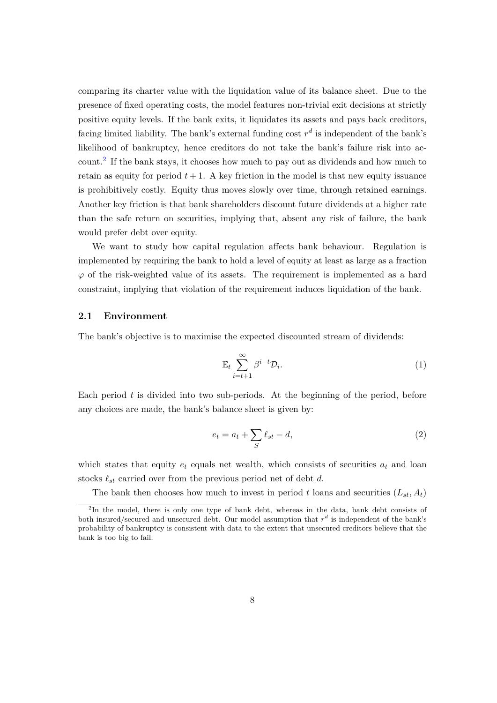comparing its charter value with the liquidation value of its balance sheet. Due to the presence of fixed operating costs, the model features non-trivial exit decisions at strictly positive equity levels. If the bank exits, it liquidates its assets and pays back creditors, facing limited liability. The bank's external funding cost  $r<sup>d</sup>$  is independent of the bank's likelihood of bankruptcy, hence creditors do not take the bank's failure risk into account.[2](#page-7-0) If the bank stays, it chooses how much to pay out as dividends and how much to retain as equity for period  $t + 1$ . A key friction in the model is that new equity issuance is prohibitively costly. Equity thus moves slowly over time, through retained earnings. Another key friction is that bank shareholders discount future dividends at a higher rate than the safe return on securities, implying that, absent any risk of failure, the bank would prefer debt over equity.

We want to study how capital regulation affects bank behaviour. Regulation is implemented by requiring the bank to hold a level of equity at least as large as a fraction *ϕ* of the risk-weighted value of its assets. The requirement is implemented as a hard constraint, implying that violation of the requirement induces liquidation of the bank.

#### <span id="page-7-1"></span>**2.1 Environment**

The bank's objective is to maximise the expected discounted stream of dividends:

$$
\mathbb{E}_t \sum_{i=t+1}^{\infty} \beta^{i-t} \mathcal{D}_i.
$$
 (1)

Each period *t* is divided into two sub-periods. At the beginning of the period, before any choices are made, the bank's balance sheet is given by:

$$
e_t = a_t + \sum_{S} \ell_{st} - d,\tag{2}
$$

which states that equity  $e_t$  equals net wealth, which consists of securities  $a_t$  and loan stocks  $\ell_{st}$  carried over from the previous period net of debt  $d$ .

The bank then chooses how much to invest in period t loans and securities  $(L_{st}, A_t)$ 

<span id="page-7-0"></span><sup>&</sup>lt;sup>2</sup>In the model, there is only one type of bank debt, whereas in the data, bank debt consists of both insured/secured and unsecured debt. Our model assumption that  $r<sup>d</sup>$  is independent of the bank's probability of bankruptcy is consistent with data to the extent that unsecured creditors believe that the bank is too big to fail.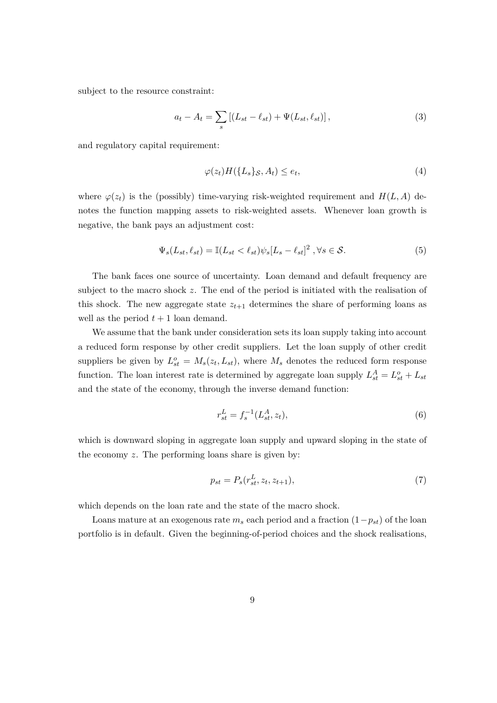subject to the resource constraint:

$$
a_t - A_t = \sum_s \left[ (L_{st} - \ell_{st}) + \Psi(L_{st}, \ell_{st}) \right],
$$
\n(3)

and regulatory capital requirement:

$$
\varphi(z_t)H(\lbrace L_s \rbrace_{\mathcal{S}}, A_t) \le e_t,\tag{4}
$$

where  $\varphi(z_t)$  is the (possibly) time-varying risk-weighted requirement and  $H(L, A)$  denotes the function mapping assets to risk-weighted assets. Whenever loan growth is negative, the bank pays an adjustment cost:

$$
\Psi_s(L_{st}, \ell_{st}) = \mathbb{I}(L_{st} < \ell_{st})\psi_s[L_s - \ell_{st}]^2, \forall s \in \mathcal{S}.
$$
\n
$$
(5)
$$

The bank faces one source of uncertainty. Loan demand and default frequency are subject to the macro shock *z*. The end of the period is initiated with the realisation of this shock. The new aggregate state  $z_{t+1}$  determines the share of performing loans as well as the period  $t + 1$  loan demand.

We assume that the bank under consideration sets its loan supply taking into account a reduced form response by other credit suppliers. Let the loan supply of other credit suppliers be given by  $L_{st}^o = M_s(z_t, L_{st})$ , where  $M_s$  denotes the reduced form response function. The loan interest rate is determined by aggregate loan supply  $L_{st}^{A} = L_{st}^{o} + L_{st}$ and the state of the economy, through the inverse demand function:

$$
r_{st}^L = f_s^{-1}(L_{st}^A, z_t),
$$
\n(6)

which is downward sloping in aggregate loan supply and upward sloping in the state of the economy *z*. The performing loans share is given by:

$$
p_{st} = P_s(r_{st}^L, z_t, z_{t+1}),
$$
\n(7)

which depends on the loan rate and the state of the macro shock.

Loans mature at an exogenous rate  $m_s$  each period and a fraction  $(1-p_{st})$  of the loan portfolio is in default. Given the beginning-of-period choices and the shock realisations,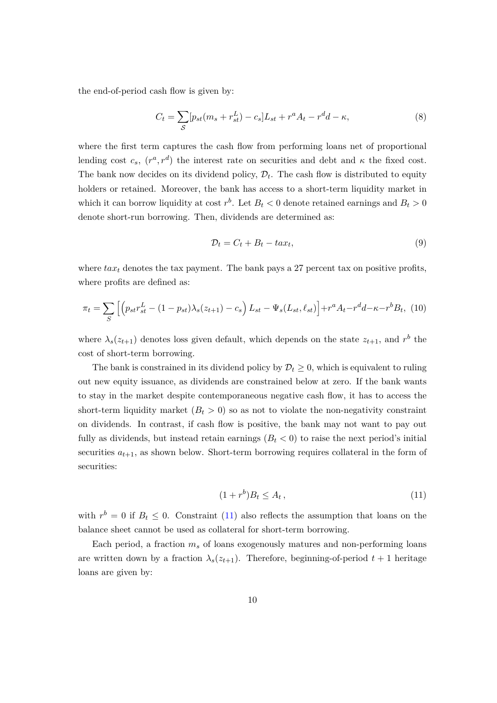the end-of-period cash flow is given by:

$$
C_t = \sum_{S} [p_{st}(m_s + r_{st}^L) - c_s]L_{st} + r^a A_t - r^d d - \kappa,
$$
\n(8)

where the first term captures the cash flow from performing loans net of proportional lending cost  $c_s$ ,  $(r^a, r^d)$  the interest rate on securities and debt and  $\kappa$  the fixed cost. The bank now decides on its dividend policy,  $\mathcal{D}_t$ . The cash flow is distributed to equity holders or retained. Moreover, the bank has access to a short-term liquidity market in which it can borrow liquidity at cost  $r^b$ . Let  $B_t < 0$  denote retained earnings and  $B_t > 0$ denote short-run borrowing. Then, dividends are determined as:

$$
\mathcal{D}_t = C_t + B_t - ta x_t,\tag{9}
$$

where  $tax_t$  denotes the tax payment. The bank pays a 27 percent tax on positive profits, where profits are defined as:

$$
\pi_t = \sum_{S} \left[ \left( p_{st} r_{st}^L - (1 - p_{st}) \lambda_s (z_{t+1}) - c_s \right) L_{st} - \Psi_s (L_{st}, \ell_{st}) \right] + r^a A_t - r^d d - \kappa - r^b B_t, \tag{10}
$$

where  $\lambda_s(z_{t+1})$  denotes loss given default, which depends on the state  $z_{t+1}$ , and  $r^b$  the cost of short-term borrowing.

The bank is constrained in its dividend policy by  $\mathcal{D}_t \geq 0$ , which is equivalent to ruling out new equity issuance, as dividends are constrained below at zero. If the bank wants to stay in the market despite contemporaneous negative cash flow, it has to access the short-term liquidity market  $(B_t > 0)$  so as not to violate the non-negativity constraint on dividends. In contrast, if cash flow is positive, the bank may not want to pay out fully as dividends, but instead retain earnings  $(B_t < 0)$  to raise the next period's initial securities  $a_{t+1}$ , as shown below. Short-term borrowing requires collateral in the form of securities:

<span id="page-9-0"></span>
$$
(1+r^b)B_t \le A_t,\tag{11}
$$

with  $r^b = 0$  if  $B_t \leq 0$ . Constraint [\(11\)](#page-9-0) also reflects the assumption that loans on the balance sheet cannot be used as collateral for short-term borrowing.

Each period, a fraction  $m_s$  of loans exogenously matures and non-performing loans are written down by a fraction  $\lambda_s(z_{t+1})$ . Therefore, beginning-of-period  $t+1$  heritage loans are given by: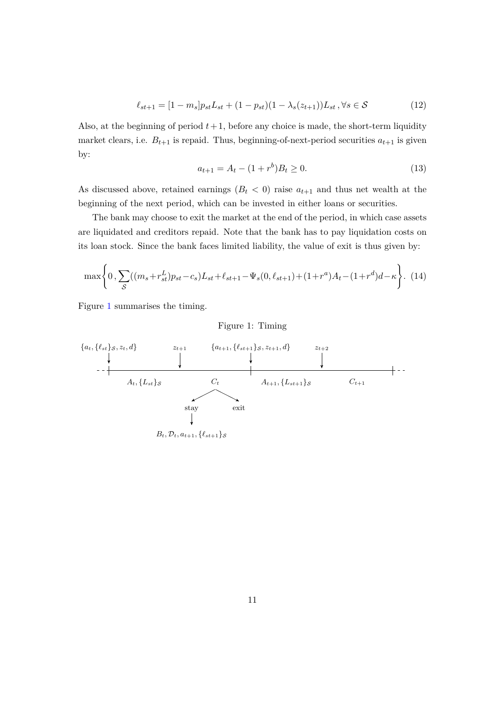$$
\ell_{st+1} = [1 - m_s] p_{st} L_{st} + (1 - p_{st}) (1 - \lambda_s (z_{t+1})) L_{st}, \forall s \in \mathcal{S}
$$
\n(12)

Also, at the beginning of period  $t + 1$ , before any choice is made, the short-term liquidity market clears, i.e.  $B_{t+1}$  is repaid. Thus, beginning-of-next-period securities  $a_{t+1}$  is given by:

$$
a_{t+1} = A_t - (1+r^b)B_t \ge 0.
$$
\n(13)

As discussed above, retained earnings  $(B_t < 0)$  raise  $a_{t+1}$  and thus net wealth at the beginning of the next period, which can be invested in either loans or securities.

The bank may choose to exit the market at the end of the period, in which case assets are liquidated and creditors repaid. Note that the bank has to pay liquidation costs on its loan stock. Since the bank faces limited liability, the value of exit is thus given by:

<span id="page-10-1"></span>
$$
\max\left\{0,\sum_{\mathcal{S}}((m_s+r_{st}^L)p_{st}-c_s)L_{st}+\ell_{st+1}-\Psi_s(0,\ell_{st+1})+(1+r^a)A_t-(1+r^d)d-\kappa\right\}.\tag{14}
$$

<span id="page-10-0"></span>Figure [1](#page-10-0) summarises the timing.

Figure 1: Timing

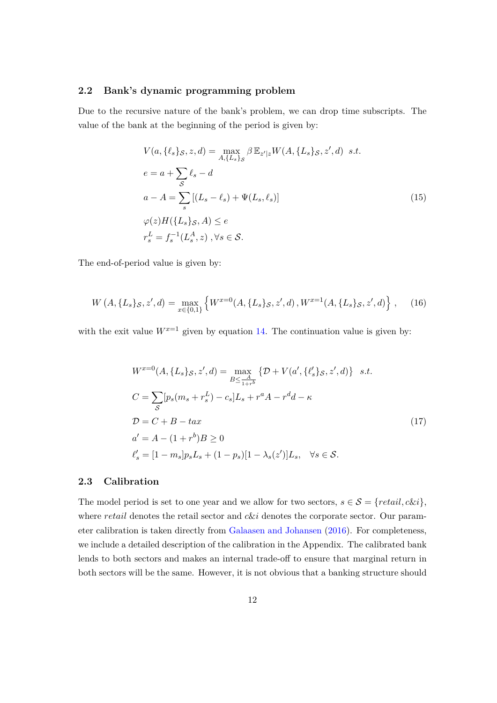#### **2.2 Bank's dynamic programming problem**

Due to the recursive nature of the bank's problem, we can drop time subscripts. The value of the bank at the beginning of the period is given by:

$$
V(a, \{\ell_s\}_S, z, d) = \max_{A, \{L_s\}_S} \beta \mathbb{E}_{z'|z} W(A, \{L_s\}_S, z', d) \quad s.t.
$$
  
\n
$$
e = a + \sum_{S} \ell_s - d
$$
  
\n
$$
a - A = \sum_{s} [(L_s - \ell_s) + \Psi(L_s, \ell_s)]
$$
  
\n
$$
\varphi(z) H(\{L_s\}_S, A) \le e
$$
  
\n
$$
r_s^L = f_s^{-1}(L_s^A, z), \forall s \in \mathcal{S}.
$$
\n(15)

The end-of-period value is given by:

$$
W\left(A,\{L_s\}_{\mathcal{S}},z',d\right) = \max_{x \in \{0,1\}} \left\{ W^{x=0}(A,\{L_s\}_{\mathcal{S}},z',d), W^{x=1}(A,\{L_s\}_{\mathcal{S}},z',d) \right\},\tag{16}
$$

with the exit value  $W^{x=1}$  given by equation [14.](#page-10-1) The continuation value is given by:

$$
W^{x=0}(A, \{L_s\}_{\mathcal{S}}, z', d) = \max_{B \le \frac{A}{1+r^b}} \{ \mathcal{D} + V(a', \{\ell'_s\}_{\mathcal{S}}, z', d) \} \quad s.t.
$$
  
\n
$$
C = \sum_{\mathcal{S}} [p_s(m_s + r_s^L) - c_s]L_s + r^a A - r^d d - \kappa
$$
  
\n
$$
\mathcal{D} = C + B - ta x
$$
  
\n
$$
a' = A - (1+r^b)B \ge 0
$$
  
\n
$$
\ell'_s = [1 - m_s]p_s L_s + (1 - p_s)[1 - \lambda_s(z')]L_s, \quad \forall s \in \mathcal{S}.
$$
\n(17)

#### **2.3 Calibration**

The model period is set to one year and we allow for two sectors,  $s \in S = \{retail, c \& i\},\$ where *retail* denotes the retail sector and *c*&*i* denotes the corporate sector. Our parameter calibration is taken directly from [Galaasen and Johansen](#page-40-2) [\(2016\)](#page-40-2). For completeness, we include a detailed description of the calibration in the Appendix. The calibrated bank lends to both sectors and makes an internal trade-off to ensure that marginal return in both sectors will be the same. However, it is not obvious that a banking structure should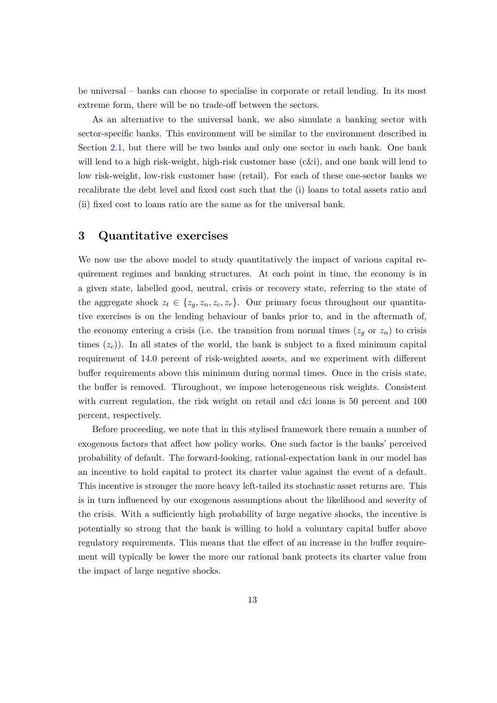be universal – banks can choose to specialise in corporate or retail lending. In its most extreme form, there will be no trade-off between the sectors.

As an alternative to the universal bank, we also simulate a banking sector with sector-specific banks. This environment will be similar to the environment described in Section [2.1,](#page-7-1) but there will be two banks and only one sector in each bank. One bank will lend to a high risk-weight, high-risk customer base (c&i), and one bank will lend to low risk-weight, low-risk customer base (retail). For each of these one-sector banks we recalibrate the debt level and fixed cost such that the (i) loans to total assets ratio and (ii) fixed cost to loans ratio are the same as for the universal bank.

# **3 Quantitative exercises**

We now use the above model to study quantitatively the impact of various capital requirement regimes and banking structures. At each point in time, the economy is in a given state, labelled good, neutral, crisis or recovery state, referring to the state of the aggregate shock  $z_t \in \{z_g, z_n, z_c, z_r\}$ . Our primary focus throughout our quantitative exercises is on the lending behaviour of banks prior to, and in the aftermath of, the economy entering a crisis (i.e. the transition from normal times  $(z_g \text{ or } z_n)$  to crisis times  $(z_c)$ ). In all states of the world, the bank is subject to a fixed minimum capital requirement of 14.0 percent of risk-weighted assets, and we experiment with different buffer requirements above this minimum during normal times. Once in the crisis state, the buffer is removed. Throughout, we impose heterogeneous risk weights. Consistent with current regulation, the risk weight on retail and c&i loans is 50 percent and 100 percent, respectively.

Before proceeding, we note that in this stylised framework there remain a number of exogenous factors that affect how policy works. One such factor is the banks' perceived probability of default. The forward-looking, rational-expectation bank in our model has an incentive to hold capital to protect its charter value against the event of a default. This incentive is stronger the more heavy left-tailed its stochastic asset returns are. This is in turn influenced by our exogenous assumptions about the likelihood and severity of the crisis. With a sufficiently high probability of large negative shocks, the incentive is potentially so strong that the bank is willing to hold a voluntary capital buffer above regulatory requirements. This means that the effect of an increase in the buffer requirement will typically be lower the more our rational bank protects its charter value from the impact of large negative shocks.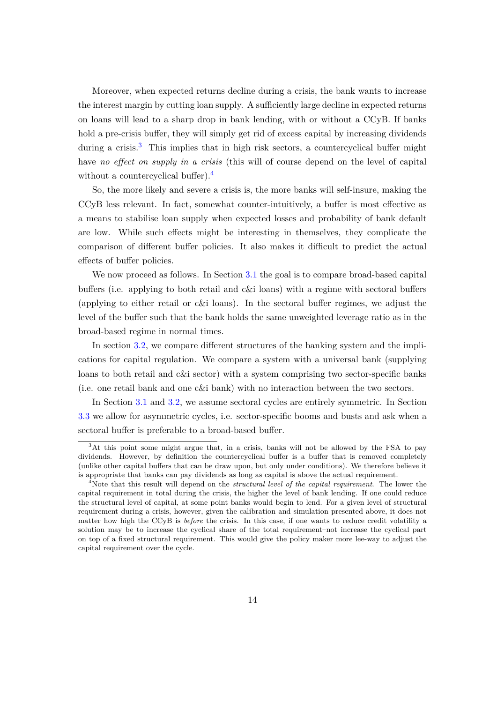Moreover, when expected returns decline during a crisis, the bank wants to increase the interest margin by cutting loan supply. A sufficiently large decline in expected returns on loans will lead to a sharp drop in bank lending, with or without a CCyB. If banks hold a pre-crisis buffer, they will simply get rid of excess capital by increasing dividends during a crisis.<sup>[3](#page-13-0)</sup> This implies that in high risk sectors, a countercyclical buffer might have *no effect on supply in a crisis* (this will of course depend on the level of capital without a countercyclical buffer).<sup>[4](#page-13-1)</sup>

So, the more likely and severe a crisis is, the more banks will self-insure, making the CCyB less relevant. In fact, somewhat counter-intuitively, a buffer is most effective as a means to stabilise loan supply when expected losses and probability of bank default are low. While such effects might be interesting in themselves, they complicate the comparison of different buffer policies. It also makes it difficult to predict the actual effects of buffer policies.

We now proceed as follows. In Section [3.1](#page-14-0) the goal is to compare broad-based capital buffers (i.e. applying to both retail and c&i loans) with a regime with sectoral buffers (applying to either retail or c&i loans). In the sectoral buffer regimes, we adjust the level of the buffer such that the bank holds the same unweighted leverage ratio as in the broad-based regime in normal times.

In section [3.2,](#page-15-0) we compare different structures of the banking system and the implications for capital regulation. We compare a system with a universal bank (supplying loans to both retail and c&i sector) with a system comprising two sector-specific banks (i.e. one retail bank and one c&i bank) with no interaction between the two sectors.

In Section [3.1](#page-14-0) and [3.2,](#page-15-0) we assume sectoral cycles are entirely symmetric. In Section [3.3](#page-19-0) we allow for asymmetric cycles, i.e. sector-specific booms and busts and ask when a sectoral buffer is preferable to a broad-based buffer.

<span id="page-13-0"></span><sup>&</sup>lt;sup>3</sup>At this point some might argue that, in a crisis, banks will not be allowed by the FSA to pay dividends. However, by definition the countercyclical buffer is a buffer that is removed completely (unlike other capital buffers that can be draw upon, but only under conditions). We therefore believe it is appropriate that banks can pay dividends as long as capital is above the actual requirement.

<span id="page-13-1"></span><sup>4</sup>Note that this result will depend on the *structural level of the capital requirement*. The lower the capital requirement in total during the crisis, the higher the level of bank lending. If one could reduce the structural level of capital, at some point banks would begin to lend. For a given level of structural requirement during a crisis, however, given the calibration and simulation presented above, it does not matter how high the CCyB is *before* the crisis. In this case, if one wants to reduce credit volatility a solution may be to increase the cyclical share of the total requirement–not increase the cyclical part on top of a fixed structural requirement. This would give the policy maker more lee-way to adjust the capital requirement over the cycle.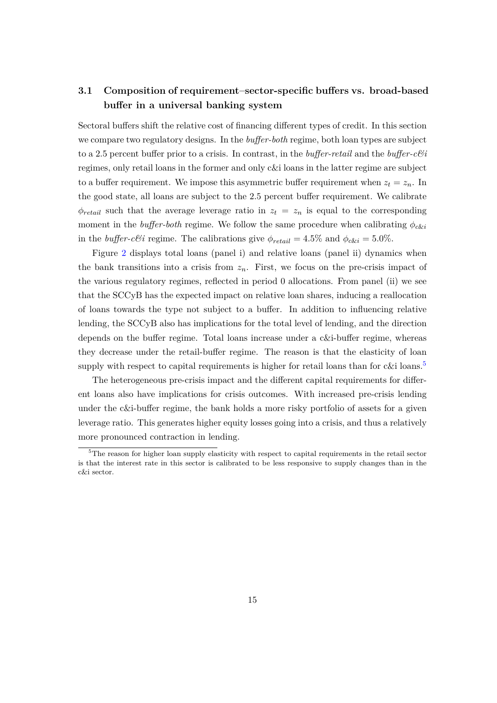# <span id="page-14-0"></span>**3.1 Composition of requirement–sector-specific buffers vs. broad-based buffer in a universal banking system**

Sectoral buffers shift the relative cost of financing different types of credit. In this section we compare two regulatory designs. In the *buffer-both* regime, both loan types are subject to a 2.5 percent buffer prior to a crisis. In contrast, in the *buffer-retail* and the *buffer-c&i* regimes, only retail loans in the former and only c&i loans in the latter regime are subject to a buffer requirement. We impose this asymmetric buffer requirement when  $z_t = z_n$ . In the good state, all loans are subject to the 2.5 percent buffer requirement. We calibrate  $\phi_{retail}$  such that the average leverage ratio in  $z_t = z_n$  is equal to the corresponding moment in the *buffer-both* regime. We follow the same procedure when calibrating  $\phi_{c\&i}$ in the *buffer-c&i* regime. The calibrations give  $\phi_{retail} = 4.5\%$  and  $\phi_{c\xi} = 5.0\%$ .

Figure [2](#page-15-1) displays total loans (panel i) and relative loans (panel ii) dynamics when the bank transitions into a crisis from  $z_n$ . First, we focus on the pre-crisis impact of the various regulatory regimes, reflected in period 0 allocations. From panel (ii) we see that the SCCyB has the expected impact on relative loan shares, inducing a reallocation of loans towards the type not subject to a buffer. In addition to influencing relative lending, the SCCyB also has implications for the total level of lending, and the direction depends on the buffer regime. Total loans increase under a c&i-buffer regime, whereas they decrease under the retail-buffer regime. The reason is that the elasticity of loan supply with respect to capital requirements is higher for retail loans than for c&i loans.<sup>[5](#page-14-1)</sup>

The heterogeneous pre-crisis impact and the different capital requirements for different loans also have implications for crisis outcomes. With increased pre-crisis lending under the c&i-buffer regime, the bank holds a more risky portfolio of assets for a given leverage ratio. This generates higher equity losses going into a crisis, and thus a relatively more pronounced contraction in lending.

<span id="page-14-1"></span><sup>&</sup>lt;sup>5</sup>The reason for higher loan supply elasticity with respect to capital requirements in the retail sector is that the interest rate in this sector is calibrated to be less responsive to supply changes than in the c&i sector.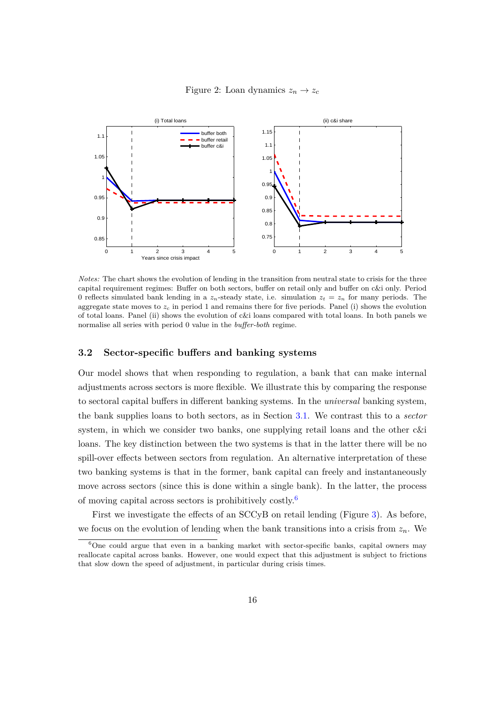#### Figure 2: Loan dynamics  $z_n \to z_c$

<span id="page-15-1"></span>

*Notes:* The chart shows the evolution of lending in the transition from neutral state to crisis for the three capital requirement regimes: Buffer on both sectors, buffer on retail only and buffer on c&i only. Period 0 reflects simulated bank lending in a  $z<sub>n</sub>$ -steady state, i.e. simulation  $z<sub>t</sub> = z<sub>n</sub>$  for many periods. The aggregate state moves to  $z_c$  in period 1 and remains there for five periods. Panel (i) shows the evolution of total loans. Panel (ii) shows the evolution of c&i loans compared with total loans. In both panels we normalise all series with period 0 value in the *buffer-both* regime.

#### <span id="page-15-0"></span>**3.2 Sector-specific buffers and banking systems**

Our model shows that when responding to regulation, a bank that can make internal adjustments across sectors is more flexible. We illustrate this by comparing the response to sectoral capital buffers in different banking systems. In the *universal* banking system, the bank supplies loans to both sectors, as in Section [3.1.](#page-14-0) We contrast this to a *sector* system, in which we consider two banks, one supplying retail loans and the other c&i loans. The key distinction between the two systems is that in the latter there will be no spill-over effects between sectors from regulation. An alternative interpretation of these two banking systems is that in the former, bank capital can freely and instantaneously move across sectors (since this is done within a single bank). In the latter, the process of moving capital across sectors is prohibitively costly.[6](#page-15-2)

First we investigate the effects of an SCCyB on retail lending (Figure [3\)](#page-16-0). As before, we focus on the evolution of lending when the bank transitions into a crisis from  $z_n$ . We

<span id="page-15-2"></span> $6$ One could argue that even in a banking market with sector-specific banks, capital owners may reallocate capital across banks. However, one would expect that this adjustment is subject to frictions that slow down the speed of adjustment, in particular during crisis times.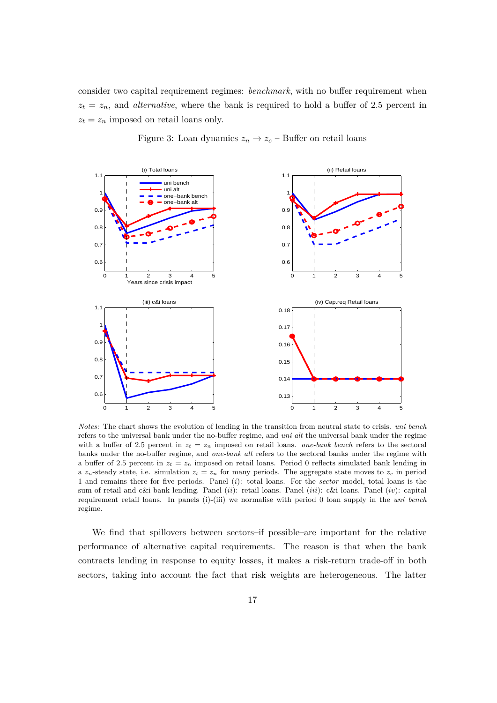consider two capital requirement regimes: *benchmark*, with no buffer requirement when  $z_t = z_n$ , and *alternative*, where the bank is required to hold a buffer of 2.5 percent in  $z_t = z_n$  imposed on retail loans only.

<span id="page-16-0"></span>

Figure 3: Loan dynamics  $z_n \to z_c$  – Buffer on retail loans

*Notes:* The chart shows the evolution of lending in the transition from neutral state to crisis. *uni bench* refers to the universal bank under the no-buffer regime, and *uni alt* the universal bank under the regime with a buffer of 2.5 percent in  $z_t = z_n$  imposed on retail loans. *one-bank bench* refers to the sectoral banks under the no-buffer regime, and *one-bank alt* refers to the sectoral banks under the regime with a buffer of 2.5 percent in  $z_t = z_n$  imposed on retail loans. Period 0 reflects simulated bank lending in a  $z_n$ -steady state, i.e. simulation  $z_t = z_n$  for many periods. The aggregate state moves to  $z_c$  in period 1 and remains there for five periods. Panel (*i*): total loans. For the *sector* model, total loans is the sum of retail and c&i bank lending. Panel (*ii*): retail loans. Panel (*iii*): c&i loans. Panel (*iv*): capital requirement retail loans. In panels (i)-(iii) we normalise with period 0 loan supply in the *uni bench* regime.

We find that spillovers between sectors–if possible–are important for the relative performance of alternative capital requirements. The reason is that when the bank contracts lending in response to equity losses, it makes a risk-return trade-off in both sectors, taking into account the fact that risk weights are heterogeneous. The latter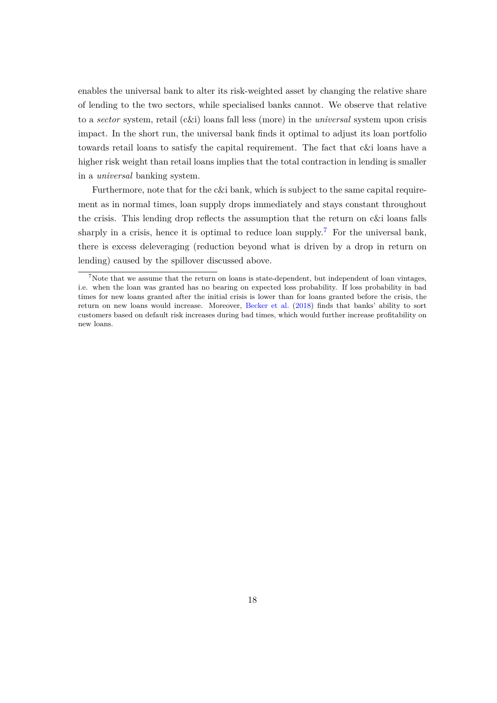enables the universal bank to alter its risk-weighted asset by changing the relative share of lending to the two sectors, while specialised banks cannot. We observe that relative to a *sector* system, retail (c&i) loans fall less (more) in the *universal* system upon crisis impact. In the short run, the universal bank finds it optimal to adjust its loan portfolio towards retail loans to satisfy the capital requirement. The fact that c&i loans have a higher risk weight than retail loans implies that the total contraction in lending is smaller in a *universal* banking system.

Furthermore, note that for the c&i bank, which is subject to the same capital requirement as in normal times, loan supply drops immediately and stays constant throughout the crisis. This lending drop reflects the assumption that the return on c&i loans falls sharply in a crisis, hence it is optimal to reduce loan supply.<sup>[7](#page-17-0)</sup> For the universal bank, there is excess deleveraging (reduction beyond what is driven by a drop in return on lending) caused by the spillover discussed above.

<span id="page-17-0"></span><sup>&</sup>lt;sup>7</sup>Note that we assume that the return on loans is state-dependent, but independent of loan vintages, i.e. when the loan was granted has no bearing on expected loss probability. If loss probability in bad times for new loans granted after the initial crisis is lower than for loans granted before the crisis, the return on new loans would increase. Moreover, [Becker et al.](#page-39-5) [\(2018\)](#page-39-5) finds that banks' ability to sort customers based on default risk increases during bad times, which would further increase profitability on new loans.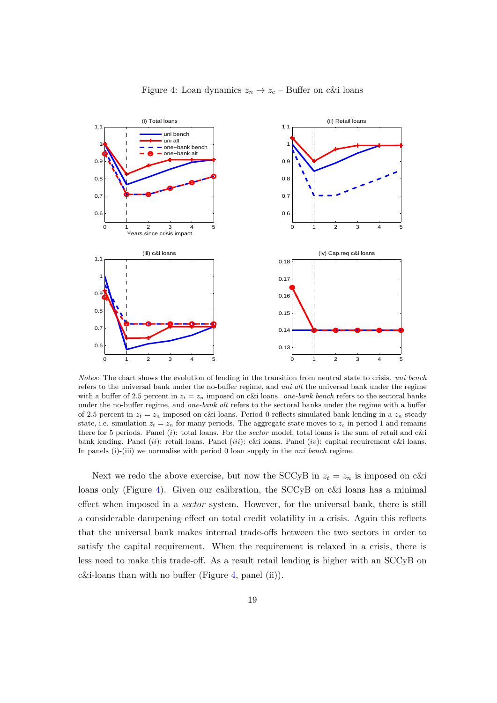<span id="page-18-0"></span>

Figure 4: Loan dynamics  $z_n \to z_c$  – Buffer on c&i loans

*Notes:* The chart shows the evolution of lending in the transition from neutral state to crisis. *uni bench* refers to the universal bank under the no-buffer regime, and *uni alt* the universal bank under the regime with a buffer of 2.5 percent in  $z_t = z_n$  imposed on c&i loans. *one-bank bench* refers to the sectoral banks under the no-buffer regime, and *one-bank alt* refers to the sectoral banks under the regime with a buffer of 2.5 percent in  $z_t = z_n$  imposed on c&i loans. Period 0 reflects simulated bank lending in a  $z_n$ -steady state, i.e. simulation  $z_t = z_n$  for many periods. The aggregate state moves to  $z_c$  in period 1 and remains there for 5 periods. Panel (*i*): total loans. For the *sector* model, total loans is the sum of retail and c&i bank lending. Panel (*ii*): retail loans. Panel (*iii*): c&i loans. Panel (*iv*): capital requirement c&i loans. In panels (i)-(iii) we normalise with period 0 loan supply in the *uni bench* regime.

Next we redo the above exercise, but now the SCCyB in  $z_t = z_n$  is imposed on c&i loans only (Figure [4\)](#page-18-0). Given our calibration, the SCCyB on c&i loans has a minimal effect when imposed in a *sector* system. However, for the universal bank, there is still a considerable dampening effect on total credit volatility in a crisis. Again this reflects that the universal bank makes internal trade-offs between the two sectors in order to satisfy the capital requirement. When the requirement is relaxed in a crisis, there is less need to make this trade-off. As a result retail lending is higher with an SCCyB on c&i-loans than with no buffer (Figure [4,](#page-18-0) panel (ii)).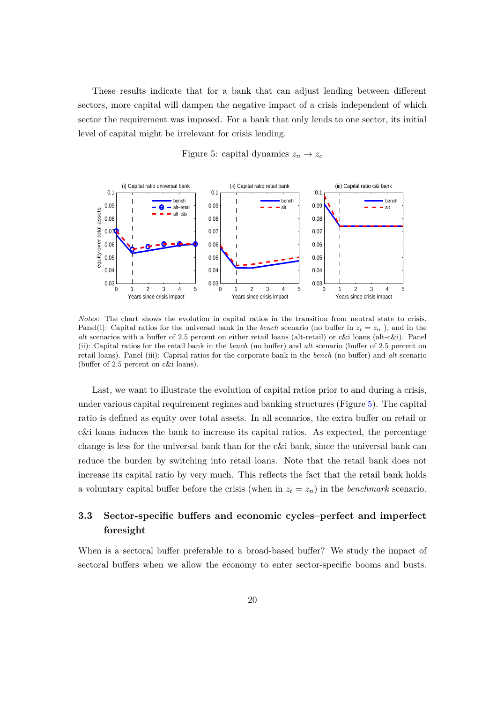These results indicate that for a bank that can adjust lending between different sectors, more capital will dampen the negative impact of a crisis independent of which sector the requirement was imposed. For a bank that only lends to one sector, its initial level of capital might be irrelevant for crisis lending.

<span id="page-19-1"></span>

Figure 5: capital dynamics  $z_n \to z_c$ 

*Notes:* The chart shows the evolution in capital ratios in the transition from neutral state to crisis. Panel(i): Capital ratios for the universal bank in the *bench* scenario (no buffer in  $z_t = z_n$ ), and in the *alt* scenarios with a buffer of 2.5 percent on either retail loans (alt-retail) or c&i loans (alt-c&i). Panel (ii): Capital ratios for the retail bank in the *bench* (no buffer) and *alt* scenario (buffer of 2.5 percent on retail loans). Panel (iii): Capital ratios for the corporate bank in the *bench* (no buffer) and *alt* scenario (buffer of 2.5 percent on c&i loans).

Last, we want to illustrate the evolution of capital ratios prior to and during a crisis, under various capital requirement regimes and banking structures (Figure [5\)](#page-19-1). The capital ratio is defined as equity over total assets. In all scenarios, the extra buffer on retail or c&i loans induces the bank to increase its capital ratios. As expected, the percentage change is less for the universal bank than for the c&i bank, since the universal bank can reduce the burden by switching into retail loans. Note that the retail bank does not increase its capital ratio by very much. This reflects the fact that the retail bank holds a voluntary capital buffer before the crisis (when in  $z_t = z_n$ ) in the *benchmark* scenario.

# <span id="page-19-0"></span>**3.3 Sector-specific buffers and economic cycles–perfect and imperfect foresight**

When is a sectoral buffer preferable to a broad-based buffer? We study the impact of sectoral buffers when we allow the economy to enter sector-specific booms and busts.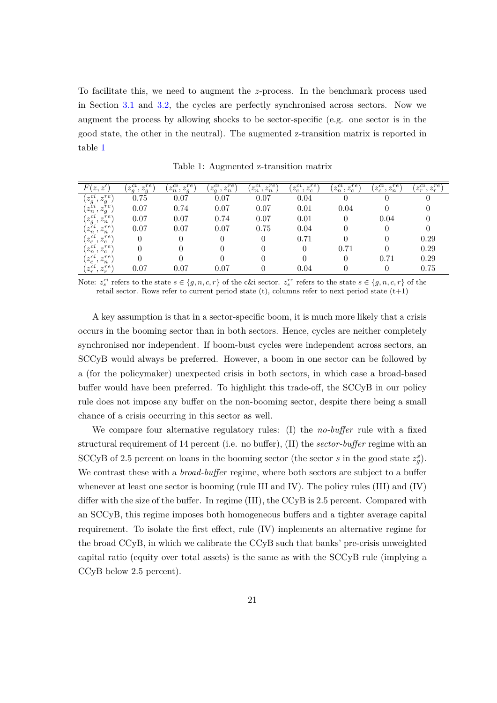To facilitate this, we need to augment the *z*-process. In the benchmark process used in Section [3.1](#page-14-0) and [3.2,](#page-15-0) the cycles are perfectly synchronised across sectors. Now we augment the process by allowing shocks to be sector-specific (e.g. one sector is in the good state, the other in the neutral). The augmented z-transition matrix is reported in table [1](#page-20-0)

<span id="page-20-0"></span>

| $\overline{F}$<br>(z, z'                                      | $(z_q^{ci}, z_q)$ | $\sim r e$<br>$(z_n^{ci}, z_q^{re})$ | $z_q^{ci}$<br>$\sim r e$<br>$, \nightharpoonup_n$ | $(z_n^{ci}, z_n^{re})$<br>$_{\gamma}$ re | $z_c^{ci}$<br>$, z_c^{re}$ | $z_n^{ci},$<br>$_{\gamma}$ re<br>$\sim_c$ | $z_c^{ci}$<br>$\sim r e$<br>$\cdot$ $\sim_n$ | $\sqrt{z_r^{re}}$<br>$z_r^{ci}$ |
|---------------------------------------------------------------|-------------------|--------------------------------------|---------------------------------------------------|------------------------------------------|----------------------------|-------------------------------------------|----------------------------------------------|---------------------------------|
| $(z_g^{ci}, z_g^{re}$<br>$\sim r e$                           | 0.75              | 0.07                                 | 0.07                                              | 0.07                                     | 0.04                       | U                                         |                                              |                                 |
| $(z_n^{\epsilon i}, z_g^{re})$                                | 0.07              | 0.74                                 | 0.07                                              | 0.07                                     | 0.01                       | 0.04                                      |                                              |                                 |
| $(z_g^{ci}, z_n^{\tau}$ ,                                     | 0.07              | 0.07                                 | 0.74                                              | 0.07                                     | 0.01                       | 0                                         | 0.04                                         |                                 |
| $\left(z_n^{ci}, z_n^{re}\right)$<br>$\sim r e$               | 0.07              | 0.07                                 | 0.07                                              | 0.75                                     | 0.04                       | 0                                         |                                              |                                 |
| $(z_c^{ci}, z_c^{re}$<br>$\sim r e$                           | $\theta$          | $\theta$                             |                                                   |                                          | 0.71                       | 0                                         |                                              | 0.29                            |
| $(z_n^{ci}, z_c^r)$<br>$\sim r e$                             | 0                 |                                      |                                                   |                                          | 0                          | 0.71                                      |                                              | 0.29                            |
| $\left(z_c^{ci},\right.$<br>$_{\sim}$ re<br>$\cdot$ $\sim$ n, |                   |                                      |                                                   |                                          |                            | $\Omega$                                  | 0.71                                         | 0.29                            |
| $(z_r^{ci}, z_r)$<br>$\sim r e$                               | 0.07              | 0.07                                 | 0.07                                              |                                          | 0.04                       |                                           |                                              | 0.75                            |

Table 1: Augmented z-transition matrix

Note:  $z_s^{ci}$  refers to the state  $s \in \{g, n, c, r\}$  of the c&i sector.  $z_s^{re}$  refers to the state  $s \in \{g, n, c, r\}$  of the retail sector. Rows refer to current period state  $(t)$ , columns refer to next period state  $(t+1)$ 

A key assumption is that in a sector-specific boom, it is much more likely that a crisis occurs in the booming sector than in both sectors. Hence, cycles are neither completely synchronised nor independent. If boom-bust cycles were independent across sectors, an SCCyB would always be preferred. However, a boom in one sector can be followed by a (for the policymaker) unexpected crisis in both sectors, in which case a broad-based buffer would have been preferred. To highlight this trade-off, the SCCyB in our policy rule does not impose any buffer on the non-booming sector, despite there being a small chance of a crisis occurring in this sector as well.

We compare four alternative regulatory rules: (I) the *no-buffer* rule with a fixed structural requirement of 14 percent (i.e. no buffer), (II) the *sector-buffer* regime with an SCCyB of 2.5 percent on loans in the booming sector (the sector *s* in the good state  $z_g^s$ ). We contrast these with a *broad-buffer* regime, where both sectors are subject to a buffer whenever at least one sector is booming (rule III and IV). The policy rules (III) and (IV) differ with the size of the buffer. In regime (III), the CCyB is 2.5 percent. Compared with an SCCyB, this regime imposes both homogeneous buffers and a tighter average capital requirement. To isolate the first effect, rule (IV) implements an alternative regime for the broad CCyB, in which we calibrate the CCyB such that banks' pre-crisis unweighted capital ratio (equity over total assets) is the same as with the SCCyB rule (implying a CCyB below 2.5 percent).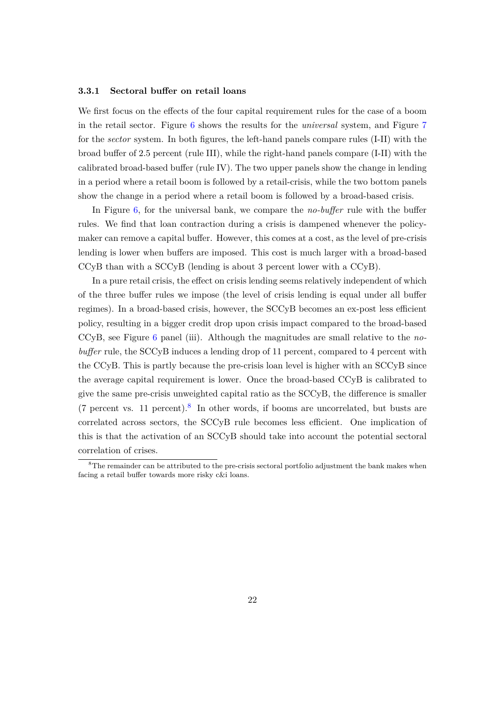#### <span id="page-21-1"></span>**3.3.1 Sectoral buffer on retail loans**

We first focus on the effects of the four capital requirement rules for the case of a boom in the retail sector. Figure [6](#page-22-0) shows the results for the *universal* system, and Figure [7](#page-23-0) for the *sector* system. In both figures, the left-hand panels compare rules (I-II) with the broad buffer of 2.5 percent (rule III), while the right-hand panels compare (I-II) with the calibrated broad-based buffer (rule IV). The two upper panels show the change in lending in a period where a retail boom is followed by a retail-crisis, while the two bottom panels show the change in a period where a retail boom is followed by a broad-based crisis.

In Figure [6,](#page-22-0) for the universal bank, we compare the *no-buffer* rule with the buffer rules. We find that loan contraction during a crisis is dampened whenever the policymaker can remove a capital buffer. However, this comes at a cost, as the level of pre-crisis lending is lower when buffers are imposed. This cost is much larger with a broad-based CCyB than with a SCCyB (lending is about 3 percent lower with a CCyB).

In a pure retail crisis, the effect on crisis lending seems relatively independent of which of the three buffer rules we impose (the level of crisis lending is equal under all buffer regimes). In a broad-based crisis, however, the SCCyB becomes an ex-post less efficient policy, resulting in a bigger credit drop upon crisis impact compared to the broad-based CCyB, see Figure [6](#page-22-0) panel (iii). Although the magnitudes are small relative to the *nobuffer* rule, the SCCyB induces a lending drop of 11 percent, compared to 4 percent with the CCyB. This is partly because the pre-crisis loan level is higher with an SCCyB since the average capital requirement is lower. Once the broad-based CCyB is calibrated to give the same pre-crisis unweighted capital ratio as the SCCyB, the difference is smaller  $(7 \text{ percent vs. } 11 \text{ percent}).$ <sup>[8](#page-21-0)</sup> In other words, if booms are uncorrelated, but busts are correlated across sectors, the SCCyB rule becomes less efficient. One implication of this is that the activation of an SCCyB should take into account the potential sectoral correlation of crises.

<span id="page-21-0"></span><sup>&</sup>lt;sup>8</sup>The remainder can be attributed to the pre-crisis sectoral portfolio adjustment the bank makes when facing a retail buffer towards more risky c&i loans.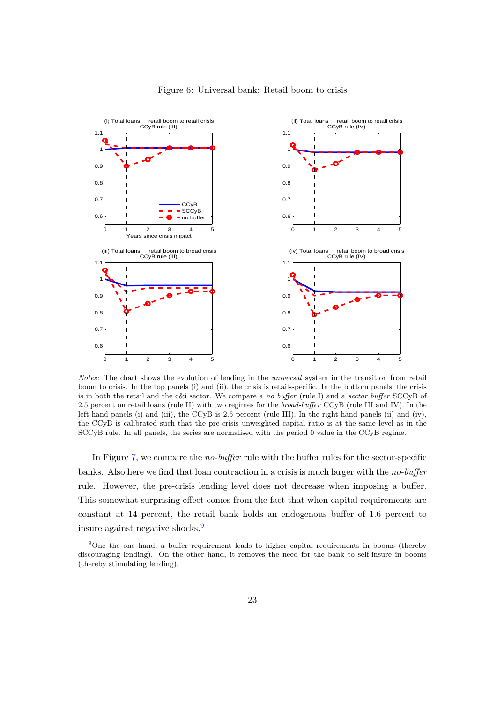<span id="page-22-0"></span>

#### Figure 6: Universal bank: Retail boom to crisis

*Notes:* The chart shows the evolution of lending in the *universal* system in the transition from retail boom to crisis. In the top panels (i) and (ii), the crisis is retail-specific. In the bottom panels, the crisis is in both the retail and the c&i sector. We compare a *no buffer* (rule I) and a *sector buffer* SCCyB of 2.5 percent on retail loans (rule II) with two regimes for the *broad-buffer* CCyB (rule III and IV). In the left-hand panels (i) and (iii), the CCyB is 2.5 percent (rule III). In the right-hand panels (ii) and (iv), the CCyB is calibrated such that the pre-crisis unweighted capital ratio is at the same level as in the SCCyB rule. In all panels, the series are normalised with the period 0 value in the CCyB regime.

In Figure [7,](#page-23-0) we compare the *no-buffer* rule with the buffer rules for the sector-specific banks. Also here we find that loan contraction in a crisis is much larger with the *no-buffer* rule. However, the pre-crisis lending level does not decrease when imposing a buffer. This somewhat surprising effect comes from the fact that when capital requirements are constant at 14 percent, the retail bank holds an endogenous buffer of 1.6 percent to insure against negative shocks.[9](#page-22-1)

<span id="page-22-1"></span><sup>&</sup>lt;sup>9</sup>One the one hand, a buffer requirement leads to higher capital requirements in booms (thereby discouraging lending). On the other hand, it removes the need for the bank to self-insure in booms (thereby stimulating lending).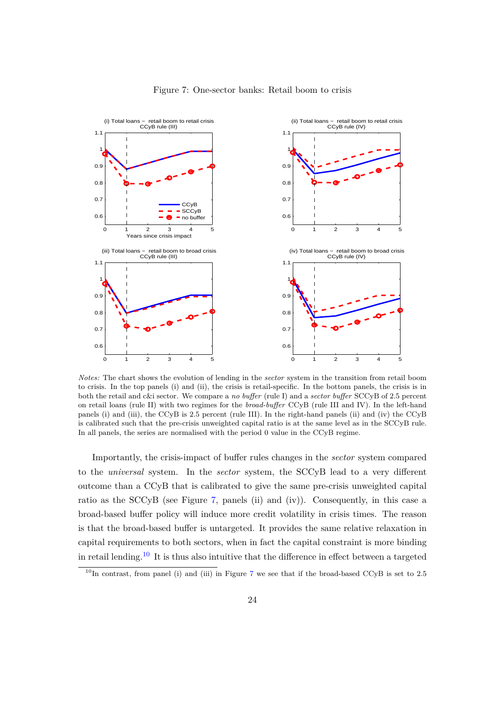<span id="page-23-0"></span>

#### Figure 7: One-sector banks: Retail boom to crisis

*Notes:* The chart shows the evolution of lending in the *sector* system in the transition from retail boom to crisis. In the top panels (i) and (ii), the crisis is retail-specific. In the bottom panels, the crisis is in both the retail and c&i sector. We compare a *no buffer* (rule I) and a *sector buffer* SCCyB of 2.5 percent on retail loans (rule II) with two regimes for the *broad-buffer* CCyB (rule III and IV). In the left-hand panels (i) and (iii), the CCyB is 2.5 percent (rule III). In the right-hand panels (ii) and (iv) the CCyB is calibrated such that the pre-crisis unweighted capital ratio is at the same level as in the SCCyB rule. In all panels, the series are normalised with the period 0 value in the CCyB regime.

Importantly, the crisis-impact of buffer rules changes in the *sector* system compared to the *universal* system. In the *sector* system, the SCCyB lead to a very different outcome than a CCyB that is calibrated to give the same pre-crisis unweighted capital ratio as the SCCyB (see Figure [7,](#page-23-0) panels (ii) and (iv)). Consequently, in this case a broad-based buffer policy will induce more credit volatility in crisis times. The reason is that the broad-based buffer is untargeted. It provides the same relative relaxation in capital requirements to both sectors, when in fact the capital constraint is more binding in retail lending.<sup>[10](#page-23-1)</sup> It is thus also intuitive that the difference in effect between a targeted

<span id="page-23-1"></span> $10$ In contrast, from panel (i) and (iii) in Figure [7](#page-23-0) we see that if the broad-based CCyB is set to 2.5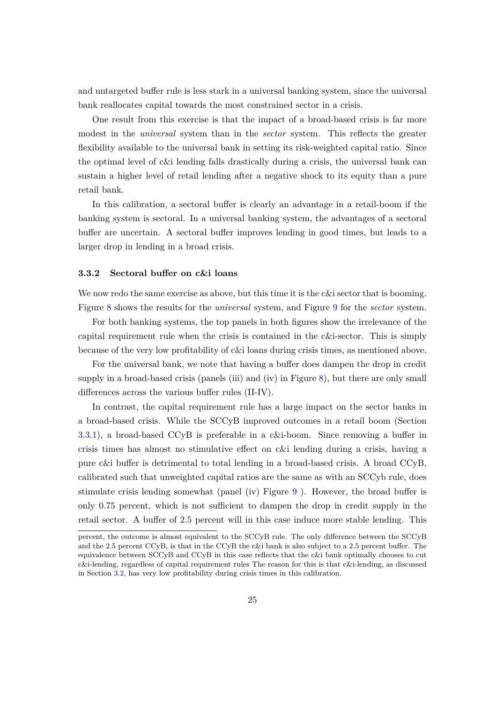and untargeted buffer rule is less stark in a universal banking system, since the universal bank reallocates capital towards the most constrained sector in a crisis.

One result from this exercise is that the impact of a broad-based crisis is far more modest in the *universal* system than in the *sector* system. This reflects the greater flexibility available to the universal bank in setting its risk-weighted capital ratio. Since the optimal level of c&i lending falls drastically during a crisis, the universal bank can sustain a higher level of retail lending after a negative shock to its equity than a pure retail bank.

In this calibration, a sectoral buffer is clearly an advantage in a retail-boom if the banking system is sectoral. In a universal banking system, the advantages of a sectoral buffer are uncertain. A sectoral buffer improves lending in good times, but leads to a larger drop in lending in a broad crisis.

#### **3.3.2 Sectoral buffer on c&i loans**

We now redo the same exercise as above, but this time it is the c&i sector that is booming. Figure [8](#page-25-0) shows the results for the *universal* system, and Figure [9](#page-26-0) for the *sector* system.

For both banking systems, the top panels in both figures show the irrelevance of the capital requirement rule when the crisis is contained in the c&i-sector. This is simply because of the very low profitability of c&i loans during crisis times, as mentioned above.

For the universal bank, we note that having a buffer does dampen the drop in credit supply in a broad-based crisis (panels (iii) and (iv) in Figure [8\)](#page-25-0), but there are only small differences across the various buffer rules (II-IV).

In contrast, the capital requirement rule has a large impact on the sector banks in a broad-based crisis. While the SCCyB improved outcomes in a retail boom (Section [3.3.1\)](#page-21-1), a broad-based CCyB is preferable in a c&i-boom. Since removing a buffer in crisis times has almost no stimulative effect on c&i lending during a crisis, having a pure c&i buffer is detrimental to total lending in a broad-based crisis. A broad CCyB, calibrated such that unweighted capital ratios are the same as with an SCCyb rule, does stimulate crisis lending somewhat (panel (iv) Figure [9](#page-26-0) ). However, the broad buffer is only 0.75 percent, which is not sufficient to dampen the drop in credit supply in the retail sector. A buffer of 2.5 percent will in this case induce more stable lending. This

percent, the outcome is almost equivalent to the SCCyB rule. The only difference between the SCCyB and the 2.5 percent CCyB, is that in the CCyB the c&i bank is also subject to a 2.5 percent buffer. The equivalence between SCCyB and CCyB in this case reflects that the c&i bank optimally chooses to cut c&i-lending, regardless of capital requirement rules The reason for this is that c&i-lending, as discussed in Section [3.2,](#page-15-0) has very low profitability during crisis times in this calibration.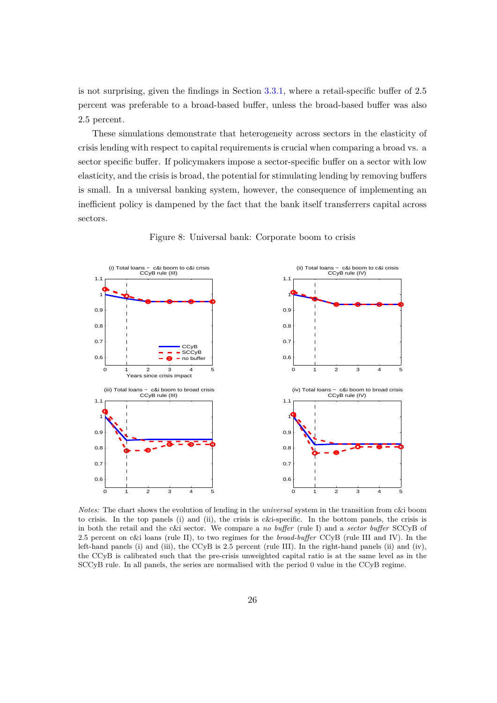is not surprising, given the findings in Section [3.3.1,](#page-21-1) where a retail-specific buffer of 2.5 percent was preferable to a broad-based buffer, unless the broad-based buffer was also 2.5 percent.

These simulations demonstrate that heterogeneity across sectors in the elasticity of crisis lending with respect to capital requirements is crucial when comparing a broad vs. a sector specific buffer. If policymakers impose a sector-specific buffer on a sector with low elasticity, and the crisis is broad, the potential for stimulating lending by removing buffers is small. In a universal banking system, however, the consequence of implementing an inefficient policy is dampened by the fact that the bank itself transferrers capital across sectors.

<span id="page-25-0"></span>

Figure 8: Universal bank: Corporate boom to crisis

*Notes:* The chart shows the evolution of lending in the *universal* system in the transition from c&i boom to crisis. In the top panels (i) and (ii), the crisis is c&i-specific. In the bottom panels, the crisis is in both the retail and the c&i sector. We compare a *no buffer* (rule I) and a *sector buffer* SCCyB of 2.5 percent on c&i loans (rule II), to two regimes for the *broad-buffer* CCyB (rule III and IV). In the left-hand panels (i) and (iii), the CCyB is 2.5 percent (rule III). In the right-hand panels (ii) and (iv), the CCyB is calibrated such that the pre-crisis unweighted capital ratio is at the same level as in the SCCyB rule. In all panels, the series are normalised with the period 0 value in the CCyB regime.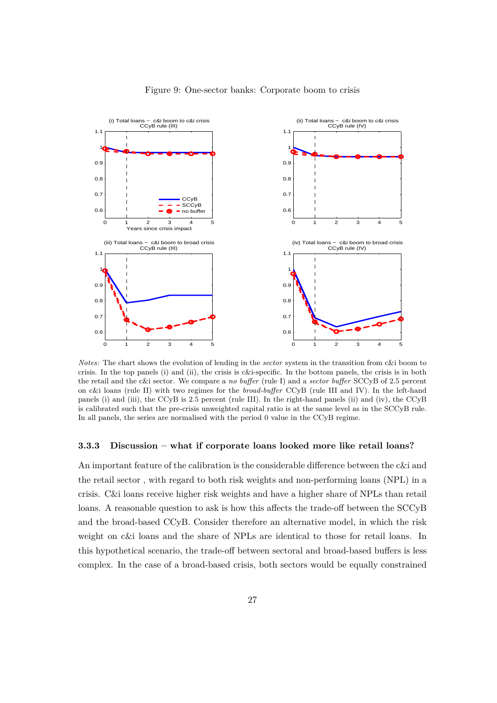<span id="page-26-0"></span>

#### Figure 9: One-sector banks: Corporate boom to crisis

*Notes:* The chart shows the evolution of lending in the *sector* system in the transition from c&i boom to crisis. In the top panels (i) and (ii), the crisis is c&i-specific. In the bottom panels, the crisis is in both the retail and the c&i sector. We compare a *no buffer* (rule I) and a *sector buffer* SCCyB of 2.5 percent on c&i loans (rule II) with two regimes for the *broad-buffer* CCyB (rule III and IV). In the left-hand panels (i) and (iii), the CCyB is 2.5 percent (rule III). In the right-hand panels (ii) and (iv), the CCyB is calibrated such that the pre-crisis unweighted capital ratio is at the same level as in the SCCyB rule. In all panels, the series are normalised with the period 0 value in the CCyB regime.

#### **3.3.3 Discussion – what if corporate loans looked more like retail loans?**

An important feature of the calibration is the considerable difference between the c&i and the retail sector , with regard to both risk weights and non-performing loans (NPL) in a crisis. C&i loans receive higher risk weights and have a higher share of NPLs than retail loans. A reasonable question to ask is how this affects the trade-off between the SCCyB and the broad-based CCyB. Consider therefore an alternative model, in which the risk weight on c&i loans and the share of NPLs are identical to those for retail loans. In this hypothetical scenario, the trade-off between sectoral and broad-based buffers is less complex. In the case of a broad-based crisis, both sectors would be equally constrained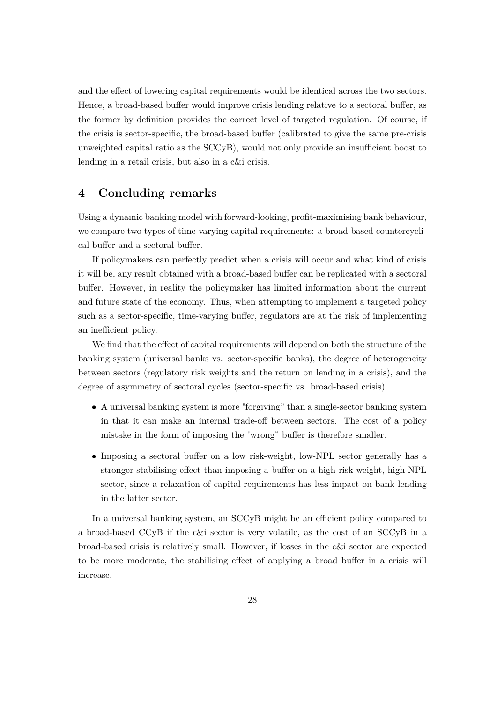and the effect of lowering capital requirements would be identical across the two sectors. Hence, a broad-based buffer would improve crisis lending relative to a sectoral buffer, as the former by definition provides the correct level of targeted regulation. Of course, if the crisis is sector-specific, the broad-based buffer (calibrated to give the same pre-crisis unweighted capital ratio as the SCCyB), would not only provide an insufficient boost to lending in a retail crisis, but also in a c&i crisis.

## **4 Concluding remarks**

Using a dynamic banking model with forward-looking, profit-maximising bank behaviour, we compare two types of time-varying capital requirements: a broad-based countercyclical buffer and a sectoral buffer.

If policymakers can perfectly predict when a crisis will occur and what kind of crisis it will be, any result obtained with a broad-based buffer can be replicated with a sectoral buffer. However, in reality the policymaker has limited information about the current and future state of the economy. Thus, when attempting to implement a targeted policy such as a sector-specific, time-varying buffer, regulators are at the risk of implementing an inefficient policy.

We find that the effect of capital requirements will depend on both the structure of the banking system (universal banks vs. sector-specific banks), the degree of heterogeneity between sectors (regulatory risk weights and the return on lending in a crisis), and the degree of asymmetry of sectoral cycles (sector-specific vs. broad-based crisis)

- A universal banking system is more "forgiving" than a single-sector banking system in that it can make an internal trade-off between sectors. The cost of a policy mistake in the form of imposing the "wrong" buffer is therefore smaller.
- Imposing a sectoral buffer on a low risk-weight, low-NPL sector generally has a stronger stabilising effect than imposing a buffer on a high risk-weight, high-NPL sector, since a relaxation of capital requirements has less impact on bank lending in the latter sector.

In a universal banking system, an SCCyB might be an efficient policy compared to a broad-based CCyB if the c&i sector is very volatile, as the cost of an SCCyB in a broad-based crisis is relatively small. However, if losses in the c&i sector are expected to be more moderate, the stabilising effect of applying a broad buffer in a crisis will increase.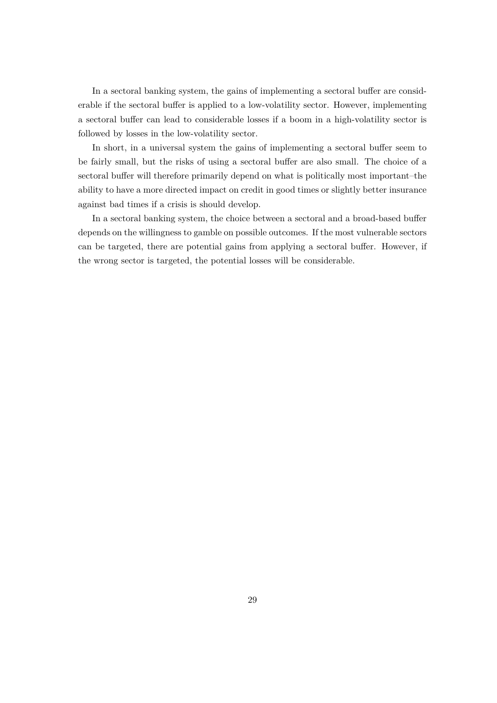In a sectoral banking system, the gains of implementing a sectoral buffer are considerable if the sectoral buffer is applied to a low-volatility sector. However, implementing a sectoral buffer can lead to considerable losses if a boom in a high-volatility sector is followed by losses in the low-volatility sector.

In short, in a universal system the gains of implementing a sectoral buffer seem to be fairly small, but the risks of using a sectoral buffer are also small. The choice of a sectoral buffer will therefore primarily depend on what is politically most important–the ability to have a more directed impact on credit in good times or slightly better insurance against bad times if a crisis is should develop.

In a sectoral banking system, the choice between a sectoral and a broad-based buffer depends on the willingness to gamble on possible outcomes. If the most vulnerable sectors can be targeted, there are potential gains from applying a sectoral buffer. However, if the wrong sector is targeted, the potential losses will be considerable.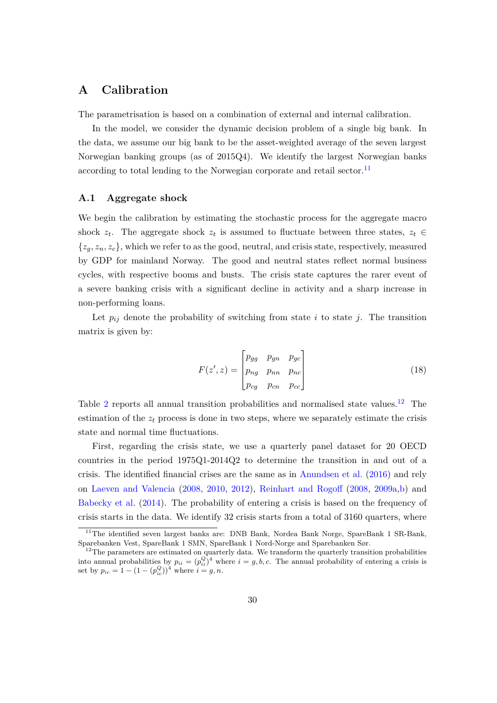# **A Calibration**

The parametrisation is based on a combination of external and internal calibration.

In the model, we consider the dynamic decision problem of a single big bank. In the data, we assume our big bank to be the asset-weighted average of the seven largest Norwegian banking groups (as of 2015Q4). We identify the largest Norwegian banks according to total lending to the Norwegian corporate and retail sector.<sup>[11](#page-29-0)</sup>

#### **A.1 Aggregate shock**

We begin the calibration by estimating the stochastic process for the aggregate macro shock  $z_t$ . The aggregate shock  $z_t$  is assumed to fluctuate between three states,  $z_t \in$  ${z_q, z_n, z_c}$ , which we refer to as the good, neutral, and crisis state, respectively, measured by GDP for mainland Norway. The good and neutral states reflect normal business cycles, with respective booms and busts. The crisis state captures the rarer event of a severe banking crisis with a significant decline in activity and a sharp increase in non-performing loans.

Let  $p_{ij}$  denote the probability of switching from state *i* to state *j*. The transition matrix is given by:

$$
F(z', z) = \begin{bmatrix} p_{gg} & p_{gn} & p_{gc} \\ p_{ng} & p_{nn} & p_{nc} \\ p_{cg} & p_{cn} & p_{cc} \end{bmatrix}
$$
 (18)

Table [2](#page-30-0) reports all annual transition probabilities and normalised state values.<sup>[12](#page-29-1)</sup> The estimation of the  $z_t$  process is done in two steps, where we separately estimate the crisis state and normal time fluctuations.

First, regarding the crisis state, we use a quarterly panel dataset for 20 OECD countries in the period 1975Q1-2014Q2 to determine the transition in and out of a crisis. The identified financial crises are the same as in [Anundsen et al.](#page-39-6) [\(2016\)](#page-39-6) and rely on [Laeven and Valencia](#page-40-4) [\(2008,](#page-40-4) [2010,](#page-40-5) [2012\)](#page-40-6), [Reinhart and Rogoff](#page-40-7) [\(2008,](#page-40-7) [2009a,](#page-40-8)[b\)](#page-40-9) and [Babecky et al.](#page-39-7) [\(2014\)](#page-39-7). The probability of entering a crisis is based on the frequency of crisis starts in the data. We identify 32 crisis starts from a total of 3160 quarters, where

<span id="page-29-0"></span><sup>&</sup>lt;sup>11</sup>The identified seven largest banks are: DNB Bank, Nordea Bank Norge, SpareBank 1 SR-Bank, Sparebanken Vest, SpareBank 1 SMN, SpareBank 1 Nord-Norge and Sparebanken Sør.

<span id="page-29-1"></span> $12$ The parameters are estimated on quarterly data. We transform the quarterly transition probabilities into annual probabilities by  $p_{ii} = (p_{ii}^Q)^4$  where  $i = g, b, c$ . The annual probability of entering a crisis is set by  $p_{ic} = 1 - (1 - (p_{ic}^Q))^4$  where  $i = g, n$ .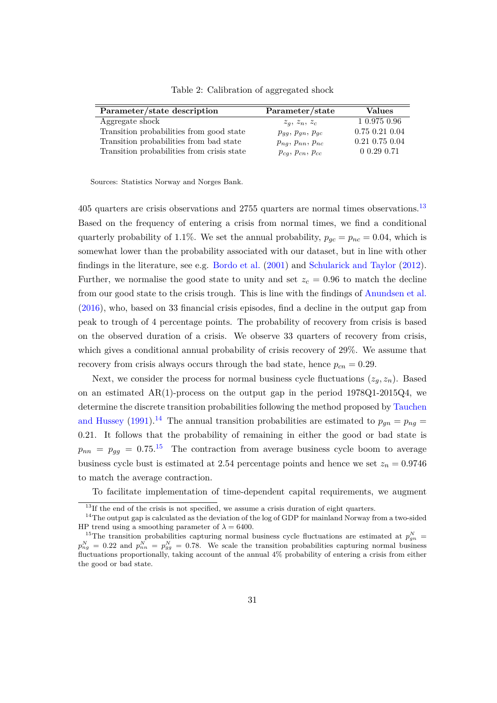<span id="page-30-0"></span>

| Parameter/state description                | Parameter/state          | <b>Values</b>        |
|--------------------------------------------|--------------------------|----------------------|
| Aggregate shock                            | $z_q, z_n, z_c$          | 1 0.975 0.96         |
| Transition probabilities from good state   | $p_{qq}, p_{qn}, p_{qc}$ | $0.75$ $0.21$ $0.04$ |
| Transition probabilities from bad state    | $p_{ng}, p_{nn}, p_{nc}$ | $0.21$ 0.75 $0.04$   |
| Transition probabilities from crisis state | $p_{cg}, p_{cn}, p_{cc}$ | $0.29$ 0.71          |

Table 2: Calibration of aggregated shock

Sources: Statistics Norway and Norges Bank.

405 quarters are crisis observations and 2755 quarters are normal times observations.<sup>[13](#page-30-1)</sup> Based on the frequency of entering a crisis from normal times, we find a conditional quarterly probability of 1.1%. We set the annual probability,  $p_{qc} = p_{nc} = 0.04$ , which is somewhat lower than the probability associated with our dataset, but in line with other findings in the literature, see e.g. [Bordo et al.](#page-39-8) [\(2001\)](#page-39-8) and [Schularick and Taylor](#page-40-10) [\(2012\)](#page-40-10). Further, we normalise the good state to unity and set  $z_c = 0.96$  to match the decline from our good state to the crisis trough. This is line with the findings of [Anundsen et al.](#page-39-6) [\(2016\)](#page-39-6), who, based on 33 financial crisis episodes, find a decline in the output gap from peak to trough of 4 percentage points. The probability of recovery from crisis is based on the observed duration of a crisis. We observe 33 quarters of recovery from crisis, which gives a conditional annual probability of crisis recovery of 29%. We assume that recovery from crisis always occurs through the bad state, hence  $p_{cn} = 0.29$ .

Next, we consider the process for normal business cycle fluctuations  $(z_q, z_n)$ . Based on an estimated  $AR(1)$ -process on the output gap in the period  $1978Q1-2015Q4$ , we determine the discrete transition probabilities following the method proposed by [Tauchen](#page-41-0) [and Hussey](#page-41-0) [\(1991\)](#page-41-0).<sup>[14](#page-30-2)</sup> The annual transition probabilities are estimated to  $p_{gn} = p_{ng} =$ 0*.*21. It follows that the probability of remaining in either the good or bad state is  $p_{nn} = p_{gg} = 0.75$ .<sup>[15](#page-30-3)</sup> The contraction from average business cycle boom to average business cycle bust is estimated at 2.54 percentage points and hence we set  $z_n = 0.9746$ to match the average contraction.

To facilitate implementation of time-dependent capital requirements, we augment

<span id="page-30-2"></span><span id="page-30-1"></span><sup>&</sup>lt;sup>13</sup>If the end of the crisis is not specified, we assume a crisis duration of eight quarters.

 $14$ The output gap is calculated as the deviation of the log of GDP for mainland Norway from a two-sided HP trend using a smoothing parameter of  $\lambda = 6400$ .

<span id="page-30-3"></span><sup>&</sup>lt;sup>15</sup>The transition probabilities capturing normal business cycle fluctuations are estimated at  $p_{gn}^N =$  $p_{ng}^N = 0.22$  and  $p_{nn}^N = p_{gg}^N = 0.78$ . We scale the transition probabilities capturing normal business fluctuations proportionally, taking account of the annual 4% probability of entering a crisis from either the good or bad state.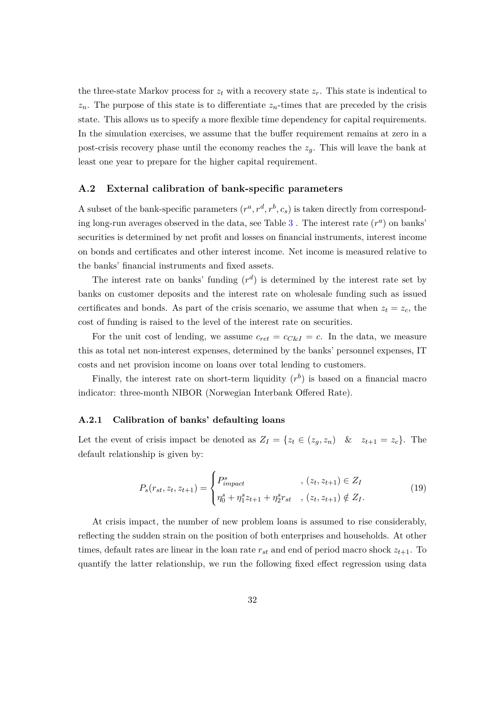the three-state Markov process for  $z_t$  with a recovery state  $z_r$ . This state is indentical to  $z_n$ . The purpose of this state is to differentiate  $z_n$ -times that are preceded by the crisis state. This allows us to specify a more flexible time dependency for capital requirements. In the simulation exercises, we assume that the buffer requirement remains at zero in a post-crisis recovery phase until the economy reaches the *zg*. This will leave the bank at least one year to prepare for the higher capital requirement.

#### **A.2 External calibration of bank-specific parameters**

A subset of the bank-specific parameters  $(r^a, r^d, r^b, c_s)$  is taken directly from corresponding long-run averages observed in the data, see Table  $3$ . The interest rate  $(r<sup>a</sup>)$  on banks' securities is determined by net profit and losses on financial instruments, interest income on bonds and certificates and other interest income. Net income is measured relative to the banks' financial instruments and fixed assets.

The interest rate on banks' funding  $(r<sup>d</sup>)$  is determined by the interest rate set by banks on customer deposits and the interest rate on wholesale funding such as issued certificates and bonds. As part of the crisis scenario, we assume that when  $z_t = z_c$ , the cost of funding is raised to the level of the interest rate on securities.

For the unit cost of lending, we assume  $c_{ret} = c_{C\&I} = c$ . In the data, we measure this as total net non-interest expenses, determined by the banks' personnel expenses, IT costs and net provision income on loans over total lending to customers.

Finally, the interest rate on short-term liquidity  $(r^b)$  is based on a financial macro indicator: three-month NIBOR (Norwegian Interbank Offered Rate).

### **A.2.1 Calibration of banks' defaulting loans**

Let the event of crisis impact be denoted as  $Z_I = \{z_t \in (z_g, z_n) \mid \& z_{t+1} = z_c\}.$  The default relationship is given by:

$$
P_s(r_{st}, z_t, z_{t+1}) = \begin{cases} P_{impact}^s & , (z_t, z_{t+1}) \in Z_I \\ \eta_0^s + \eta_1^s z_{t+1} + \eta_2^s r_{st} & , (z_t, z_{t+1}) \notin Z_I. \end{cases}
$$
(19)

At crisis impact, the number of new problem loans is assumed to rise considerably, reflecting the sudden strain on the position of both enterprises and households. At other times, default rates are linear in the loan rate  $r_{st}$  and end of period macro shock  $z_{t+1}$ . To quantify the latter relationship, we run the following fixed effect regression using data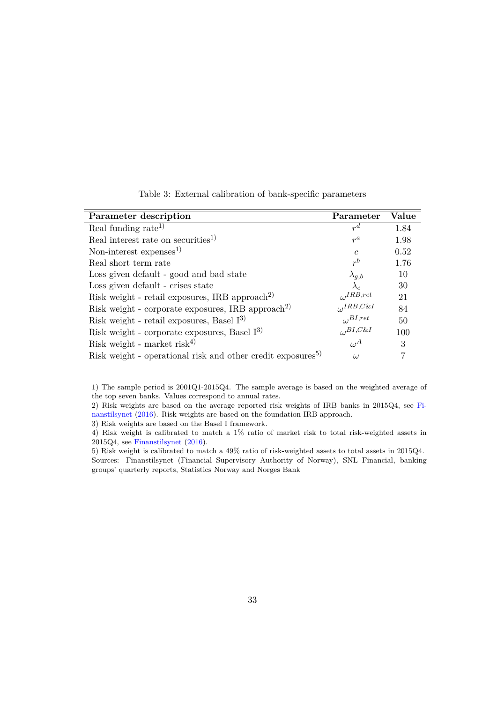<span id="page-32-0"></span>

| Parameter description                                                   | Parameter             | Value |
|-------------------------------------------------------------------------|-----------------------|-------|
| Real funding rate <sup>1)</sup>                                         | $r^d$                 | 1.84  |
| Real interest rate on securities <sup>1)</sup>                          | $r^a$                 | 1.98  |
| Non-interest $expenses1$                                                | $\mathcal{C}$         | 0.52  |
| Real short term rate                                                    | $r^b$                 | 1.76  |
| Loss given default - good and bad state                                 | $\lambda_{g,b}$       | 10    |
| Loss given default - crises state                                       | $\lambda_c$           | 30    |
| Risk weight - retail exposures, IRB approach <sup>2)</sup>              | $_{\iota}$ , IRB, ret | 21    |
| Risk weight - corporate exposures, IRB approach <sup>2)</sup>           | $L$ , $IRB$ , $C\&I$  | 84    |
| Risk weight - retail exposures, Basel $I^{3}$                           | $L$ , BI, ret         | 50    |
| Risk weight - corporate exposures, Basel $I^{3}$                        | $L$ BI,C&I            | 100   |
| Risk weight - market risk <sup>4)</sup>                                 | $\omega^A$            | 3     |
| Risk weight - operational risk and other credit exposures <sup>5)</sup> | $\omega$              |       |

Table 3: External calibration of bank-specific parameters

1) The sample period is 2001Q1-2015Q4. The sample average is based on the weighted average of the top seven banks. Values correspond to annual rates.

2) Risk weights are based on the average reported risk weights of IRB banks in 2015Q4, see [Fi](#page-40-11)[nanstilsynet](#page-40-11) [\(2016\)](#page-40-11). Risk weights are based on the foundation IRB approach.

3) Risk weights are based on the Basel I framework.

4) Risk weight is calibrated to match a 1% ratio of market risk to total risk-weighted assets in 2015Q4, see [Finanstilsynet](#page-40-11) [\(2016\)](#page-40-11).

5) Risk weight is calibrated to match a 49% ratio of risk-weighted assets to total assets in 2015Q4. Sources: Finanstilsynet (Financial Supervisory Authority of Norway), SNL Financial, banking groups' quarterly reports, Statistics Norway and Norges Bank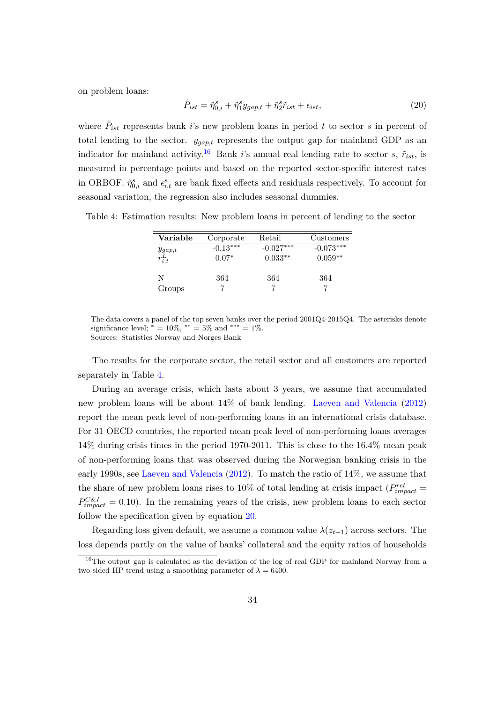on problem loans:

<span id="page-33-2"></span>
$$
\tilde{P}_{ist} = \tilde{\eta}_{0,i}^s + \tilde{\eta}_1^s y_{gap,t} + \tilde{\eta}_2^s \tilde{r}_{ist} + \epsilon_{ist},\tag{20}
$$

where  $\tilde{P}_{ist}$  represents bank *i*'s new problem loans in period *t* to sector *s* in percent of total lending to the sector. *ygap,t* represents the output gap for mainland GDP as an indicator for mainland activity.<sup>[16](#page-33-0)</sup> Bank *i*'s annual real lending rate to sector *s*,  $\tilde{r}_{ist}$ , is measured in percentage points and based on the reported sector-specific interest rates in ORBOF.  $\tilde{\eta}_{0,i}^s$  and  $\epsilon_{i,t}^s$  are bank fixed effects and residuals respectively. To account for seasonal variation, the regression also includes seasonal dummies.

<span id="page-33-1"></span>Table 4: Estimation results: New problem loans in percent of lending to the sector

| Variable                   | Corporate             | Retail                   | Customers                |
|----------------------------|-----------------------|--------------------------|--------------------------|
| $y_{gap,t}$<br>$r_{i,t}^L$ | $-0.13***$<br>$0.07*$ | $-0.027***$<br>$0.033**$ | $-0.073***$<br>$0.059**$ |
| N<br>Groups                | 364                   | 364                      | 364                      |

The data covers a panel of the top seven banks over the period 2001Q4-2015Q4. The asterisks denote significance level;  $* = 10\%, ** = 5\%$  and \*\*\* = 1%. Sources: Statistics Norway and Norges Bank

The results for the corporate sector, the retail sector and all customers are reported separately in Table [4.](#page-33-1)

During an average crisis, which lasts about 3 years, we assume that accumulated new problem loans will be about 14% of bank lending. [Laeven and Valencia](#page-40-6) [\(2012\)](#page-40-6) report the mean peak level of non-performing loans in an international crisis database. For 31 OECD countries, the reported mean peak level of non-performing loans averages 14% during crisis times in the period 1970-2011. This is close to the 16.4% mean peak of non-performing loans that was observed during the Norwegian banking crisis in the early 1990s, see [Laeven and Valencia](#page-40-6) [\(2012\)](#page-40-6). To match the ratio of 14%, we assume that the share of new problem loans rises to 10% of total lending at crisis impact  $(P_{impact}^{ret} =$  $P_{impact}^{C\&I} = 0.10$ . In the remaining years of the crisis, new problem loans to each sector follow the specification given by equation [20.](#page-33-2)

Regarding loss given default, we assume a common value  $\lambda(z_{t+1})$  across sectors. The loss depends partly on the value of banks' collateral and the equity ratios of households

<span id="page-33-0"></span><sup>&</sup>lt;sup>16</sup>The output gap is calculated as the deviation of the log of real GDP for mainland Norway from a two-sided HP trend using a smoothing parameter of  $\lambda = 6400$ .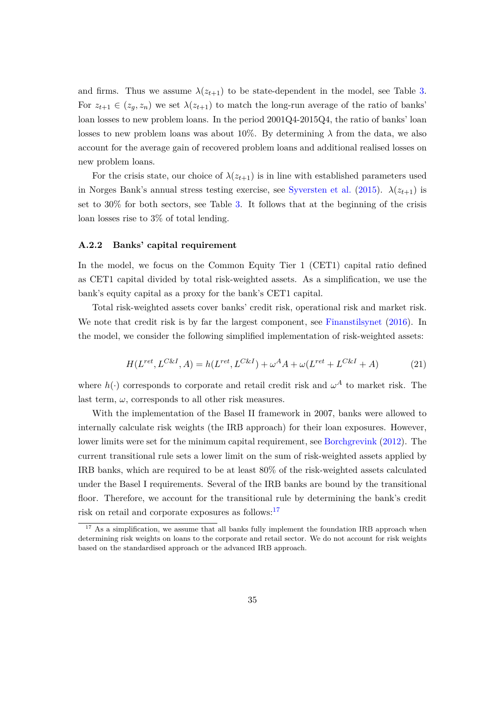and firms. Thus we assume  $\lambda(z_{t+1})$  to be state-dependent in the model, see Table [3.](#page-32-0) For  $z_{t+1} \in (z_q, z_n)$  we set  $\lambda(z_{t+1})$  to match the long-run average of the ratio of banks' loan losses to new problem loans. In the period 2001Q4-2015Q4, the ratio of banks' loan losses to new problem loans was about 10%. By determining  $\lambda$  from the data, we also account for the average gain of recovered problem loans and additional realised losses on new problem loans.

For the crisis state, our choice of  $\lambda(z_{t+1})$  is in line with established parameters used in Norges Bank's annual stress testing exercise, see [Syversten et al.](#page-41-1) [\(2015\)](#page-41-1).  $\lambda(z_{t+1})$  is set to 30% for both sectors, see Table [3.](#page-32-0) It follows that at the beginning of the crisis loan losses rise to 3% of total lending.

#### **A.2.2 Banks' capital requirement**

In the model, we focus on the Common Equity Tier 1 (CET1) capital ratio defined as CET1 capital divided by total risk-weighted assets. As a simplification, we use the bank's equity capital as a proxy for the bank's CET1 capital.

Total risk-weighted assets cover banks' credit risk, operational risk and market risk. We note that credit risk is by far the largest component, see [Finanstilsynet](#page-40-11) [\(2016\)](#page-40-11). In the model, we consider the following simplified implementation of risk-weighted assets:

$$
H(L^{ret}, L^{C\&I}, A) = h(L^{ret}, L^{C\&I}) + \omega^A A + \omega(L^{ret} + L^{C\&I} + A)
$$
(21)

where  $h(\cdot)$  corresponds to corporate and retail credit risk and  $\omega^A$  to market risk. The last term,  $\omega$ , corresponds to all other risk measures.

With the implementation of the Basel II framework in 2007, banks were allowed to internally calculate risk weights (the IRB approach) for their loan exposures. However, lower limits were set for the minimum capital requirement, see [Borchgrevink](#page-39-9) [\(2012\)](#page-39-9). The current transitional rule sets a lower limit on the sum of risk-weighted assets applied by IRB banks, which are required to be at least 80% of the risk-weighted assets calculated under the Basel I requirements. Several of the IRB banks are bound by the transitional floor. Therefore, we account for the transitional rule by determining the bank's credit risk on retail and corporate exposures as follows:<sup>[17](#page-34-0)</sup>

<span id="page-34-0"></span><sup>&</sup>lt;sup>17</sup> As a simplification, we assume that all banks fully implement the foundation IRB approach when determining risk weights on loans to the corporate and retail sector. We do not account for risk weights based on the standardised approach or the advanced IRB approach.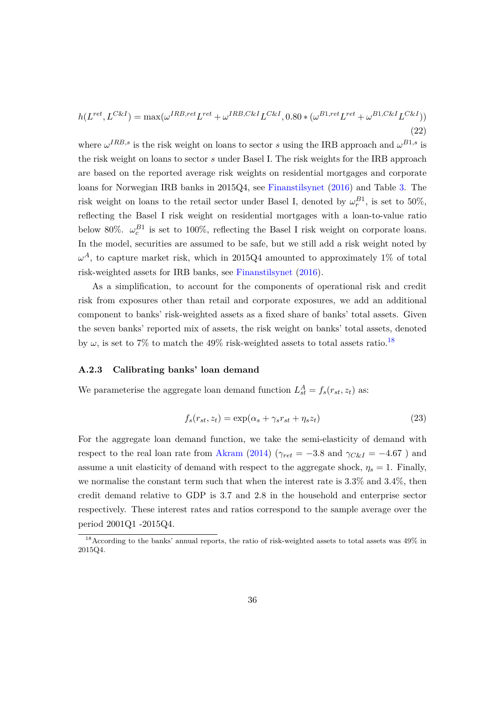$$
h(L^{ret}, L^{C\&I}) = \max(\omega^{IRB,ret}L^{ret} + \omega^{IRB, C\&I}L^{C\&I}, 0.80 * (\omega^{B1,ret}L^{ret} + \omega^{B1, C\&I}L^{C\&I}))
$$
\n(22)

where  $\omega^{IRB,s}$  is the risk weight on loans to sector *s* using the IRB approach and  $\omega^{B1,s}$  is the risk weight on loans to sector *s* under Basel I. The risk weights for the IRB approach are based on the reported average risk weights on residential mortgages and corporate loans for Norwegian IRB banks in 2015Q4, see [Finanstilsynet](#page-40-11) [\(2016\)](#page-40-11) and Table [3.](#page-32-0) The risk weight on loans to the retail sector under Basel I, denoted by  $\omega_r^{B1}$ , is set to 50%, reflecting the Basel I risk weight on residential mortgages with a loan-to-value ratio below 80%.  $\omega_c^{B1}$  is set to 100%, reflecting the Basel I risk weight on corporate loans. In the model, securities are assumed to be safe, but we still add a risk weight noted by  $\omega^A$ , to capture market risk, which in 2015Q4 amounted to approximately 1% of total risk-weighted assets for IRB banks, see [Finanstilsynet](#page-40-11) [\(2016\)](#page-40-11).

As a simplification, to account for the components of operational risk and credit risk from exposures other than retail and corporate exposures, we add an additional component to banks' risk-weighted assets as a fixed share of banks' total assets. Given the seven banks' reported mix of assets, the risk weight on banks' total assets, denoted by  $\omega$ , is set to 7% to match the 49% risk-weighted assets to total assets ratio.<sup>[18](#page-35-0)</sup>

#### **A.2.3 Calibrating banks' loan demand**

We parameterise the aggregate loan demand function  $L_{st}^{A} = f_s(r_{st}, z_t)$  as:

$$
f_s(r_{st}, z_t) = \exp(\alpha_s + \gamma_s r_{st} + \eta_s z_t)
$$
\n(23)

For the aggregate loan demand function, we take the semi-elasticity of demand with respect to the real loan rate from [Akram](#page-39-10) [\(2014\)](#page-39-10) ( $\gamma_{ret} = -3.8$  and  $\gamma_{C\&I} = -4.67$ ) and assume a unit elasticity of demand with respect to the aggregate shock,  $\eta_s = 1$ . Finally, we normalise the constant term such that when the interest rate is 3.3% and 3.4%, then credit demand relative to GDP is 3.7 and 2.8 in the household and enterprise sector respectively. These interest rates and ratios correspond to the sample average over the period 2001Q1 -2015Q4.

<span id="page-35-0"></span><sup>&</sup>lt;sup>18</sup> According to the banks' annual reports, the ratio of risk-weighted assets to total assets was 49% in 2015Q4.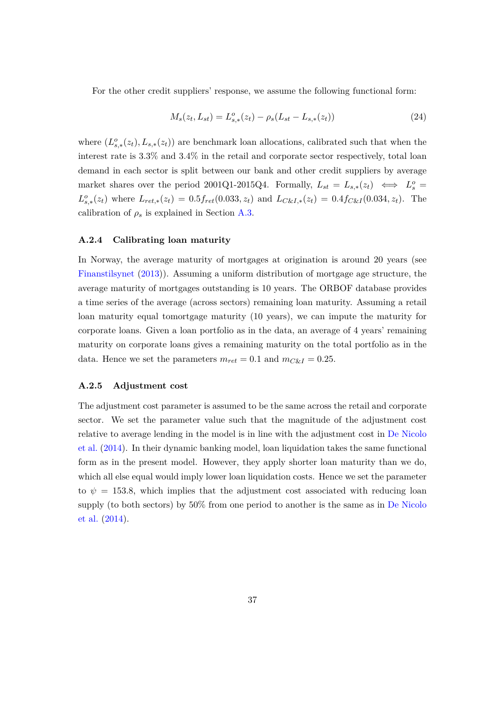For the other credit suppliers' response, we assume the following functional form:

$$
M_s(z_t, L_{st}) = L_{s,*}^o(z_t) - \rho_s(L_{st} - L_{s,*}(z_t))
$$
\n(24)

where  $(L_{s,*}^o(z_t), L_{s,*}(z_t))$  are benchmark loan allocations, calibrated such that when the interest rate is 3.3% and 3.4% in the retail and corporate sector respectively, total loan demand in each sector is split between our bank and other credit suppliers by average market shares over the period 2001Q1-2015Q4. Formally,  $L_{st} = L_{s,*}(z_t) \iff L_s^o =$  $L_{s,*}^o(z_t)$  where  $L_{ret,*}(z_t) = 0.5f_{ret}(0.033, z_t)$  and  $L_{C\&I,*}(z_t) = 0.4f_{C\&I}(0.034, z_t)$ . The calibration of  $\rho_s$  is explained in Section [A.3.](#page-37-0)

#### **A.2.4 Calibrating loan maturity**

In Norway, the average maturity of mortgages at origination is around 20 years (see [Finanstilsynet](#page-40-12) [\(2013\)](#page-40-12)). Assuming a uniform distribution of mortgage age structure, the average maturity of mortgages outstanding is 10 years. The ORBOF database provides a time series of the average (across sectors) remaining loan maturity. Assuming a retail loan maturity equal tomortgage maturity (10 years), we can impute the maturity for corporate loans. Given a loan portfolio as in the data, an average of 4 years' remaining maturity on corporate loans gives a remaining maturity on the total portfolio as in the data. Hence we set the parameters  $m_{ret} = 0.1$  and  $m_{C\&} = 0.25$ .

#### **A.2.5 Adjustment cost**

The adjustment cost parameter is assumed to be the same across the retail and corporate sector. We set the parameter value such that the magnitude of the adjustment cost relative to average lending in the model is in line with the adjustment cost in [De Nicolo](#page-39-4) [et al.](#page-39-4) [\(2014\)](#page-39-4). In their dynamic banking model, loan liquidation takes the same functional form as in the present model. However, they apply shorter loan maturity than we do, which all else equal would imply lower loan liquidation costs. Hence we set the parameter to  $\psi = 153.8$ , which implies that the adjustment cost associated with reducing loan supply (to both sectors) by 50% from one period to another is the same as in [De Nicolo](#page-39-4) [et al.](#page-39-4) [\(2014\)](#page-39-4).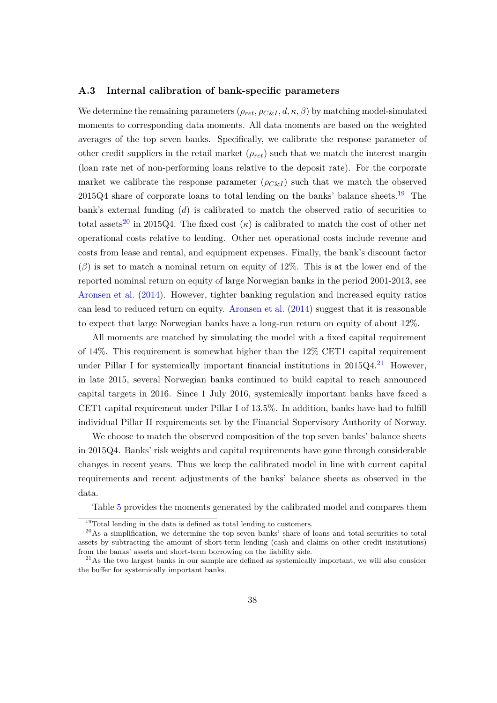#### <span id="page-37-0"></span>**A.3 Internal calibration of bank-specific parameters**

We determine the remaining parameters  $(\rho_{ret}, \rho_{C\&I}, d, \kappa, \beta)$  by matching model-simulated moments to corresponding data moments. All data moments are based on the weighted averages of the top seven banks. Specifically, we calibrate the response parameter of other credit suppliers in the retail market (*ρret*) such that we match the interest margin (loan rate net of non-performing loans relative to the deposit rate). For the corporate market we calibrate the response parameter  $(\rho_{CKI})$  such that we match the observed  $2015Q4$  share of corporate loans to total lending on the banks' balance sheets.<sup>[19](#page-37-1)</sup> The bank's external funding  $(d)$  is calibrated to match the observed ratio of securities to total assets<sup>[20](#page-37-2)</sup> in 2015Q4. The fixed cost  $(\kappa)$  is calibrated to match the cost of other net operational costs relative to lending. Other net operational costs include revenue and costs from lease and rental, and equipment expenses. Finally, the bank's discount factor  $(\beta)$  is set to match a nominal return on equity of 12%. This is at the lower end of the reported nominal return on equity of large Norwegian banks in the period 2001-2013, see [Aronsen et al.](#page-39-11) [\(2014\)](#page-39-11). However, tighter banking regulation and increased equity ratios can lead to reduced return on equity. [Aronsen et al.](#page-39-11) [\(2014\)](#page-39-11) suggest that it is reasonable to expect that large Norwegian banks have a long-run return on equity of about 12%.

All moments are matched by simulating the model with a fixed capital requirement of 14%. This requirement is somewhat higher than the 12% CET1 capital requirement under Pillar I for systemically important financial institutions in  $2015Q4$ .<sup>[21](#page-37-3)</sup> However, in late 2015, several Norwegian banks continued to build capital to reach announced capital targets in 2016. Since 1 July 2016, systemically important banks have faced a CET1 capital requirement under Pillar I of 13.5%. In addition, banks have had to fulfill individual Pillar II requirements set by the Financial Supervisory Authority of Norway.

We choose to match the observed composition of the top seven banks' balance sheets in 2015Q4. Banks' risk weights and capital requirements have gone through considerable changes in recent years. Thus we keep the calibrated model in line with current capital requirements and recent adjustments of the banks' balance sheets as observed in the data.

Table [5](#page-38-0) provides the moments generated by the calibrated model and compares them

<span id="page-37-2"></span><span id="page-37-1"></span> $19$ Total lending in the data is defined as total lending to customers.

 $20\text{As a simplification, we determine the top seven banks' share of loans and total securities to total.}$ assets by subtracting the amount of short-term lending (cash and claims on other credit institutions) from the banks' assets and short-term borrowing on the liability side.

<span id="page-37-3"></span> $^{21}$ As the two largest banks in our sample are defined as systemically important, we will also consider the buffer for systemically important banks.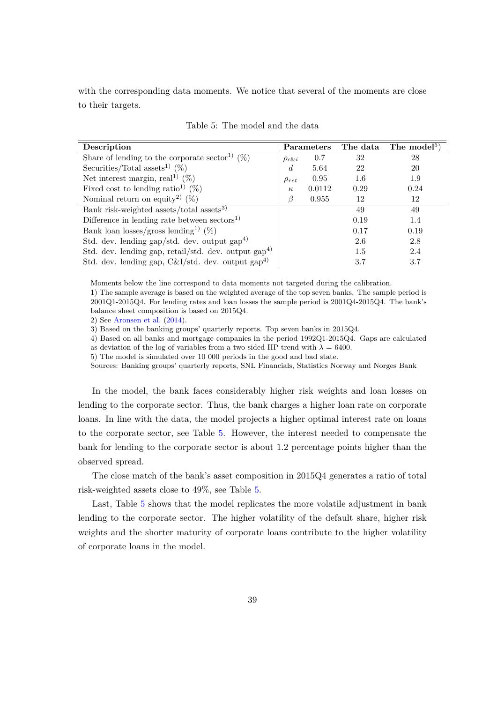with the corresponding data moments. We notice that several of the moments are close to their targets.

<span id="page-38-0"></span>

| Description                                                     |                | Parameters |         | The data The model <sup>5</sup> ) |
|-----------------------------------------------------------------|----------------|------------|---------|-----------------------------------|
| Share of lending to the corporate sector <sup>1)</sup> $(\%)$   | $\rho_{c\&i}$  | 0.7        | 32      | 28                                |
| Securities/Total assets <sup>1)</sup> (%)                       | $\overline{d}$ | 5.64       | 22      | 20                                |
| Net interest margin, real <sup>1)</sup> $(\%)$                  | $\rho_{ret}$   | 0.95       | $1.6\,$ | 1.9                               |
| Fixed cost to lending ratio <sup>1</sup> $(\%)$                 | $\kappa$       | 0.0112     | 0.29    | 0.24                              |
| Nominal return on equity <sup>2)</sup> $(\%)$                   |                | 0.955      | 12      | 12                                |
| Bank risk-weighted assets/total assets <sup>3)</sup>            |                |            | 49      | 49                                |
| Difference in lending rate between $\rm{sectors}^{1}$           |                |            | 0.19    | 1.4                               |
| Bank loan losses/gross lending <sup>1)</sup> (%)                |                |            | 0.17    | 0.19                              |
| Std. dev. lending gap/std. dev. output $\text{gap}^{4}$         |                |            | 2.6     | 2.8                               |
| Std. dev. lending gap, retail/std. dev. output $\text{gap}^4$   |                |            | 1.5     | 2.4                               |
| Std. dev. lending gap, $C&I/std.$ dev. output gap <sup>4)</sup> |                |            | 3.7     | 3.7                               |

Table 5: The model and the data

Moments below the line correspond to data moments not targeted during the calibration. 1) The sample average is based on the weighted average of the top seven banks. The sample period is 2001Q1-2015Q4. For lending rates and loan losses the sample period is 2001Q4-2015Q4. The bank's balance sheet composition is based on 2015Q4.

2) See [Aronsen et al.](#page-39-11) [\(2014\)](#page-39-11).

3) Based on the banking groups' quarterly reports. Top seven banks in 2015Q4.

4) Based on all banks and mortgage companies in the period 1992Q1-2015Q4. Gaps are calculated

as deviation of the log of variables from a two-sided HP trend with  $\lambda = 6400$ . 5) The model is simulated over 10 000 periods in the good and bad state.

Sources: Banking groups' quarterly reports, SNL Financials, Statistics Norway and Norges Bank

In the model, the bank faces considerably higher risk weights and loan losses on lending to the corporate sector. Thus, the bank charges a higher loan rate on corporate loans. In line with the data, the model projects a higher optimal interest rate on loans to the corporate sector, see Table [5.](#page-38-0) However, the interest needed to compensate the bank for lending to the corporate sector is about 1.2 percentage points higher than the observed spread.

The close match of the bank's asset composition in 2015Q4 generates a ratio of total risk-weighted assets close to 49%, see Table [5.](#page-38-0)

Last, Table [5](#page-38-0) shows that the model replicates the more volatile adjustment in bank lending to the corporate sector. The higher volatility of the default share, higher risk weights and the shorter maturity of corporate loans contribute to the higher volatility of corporate loans in the model.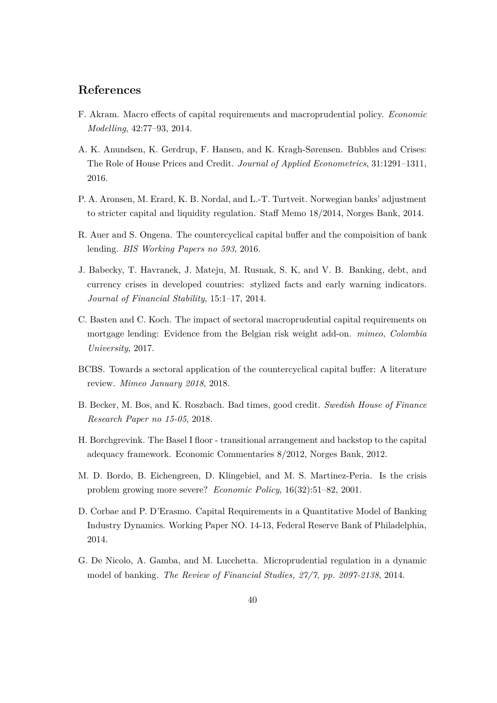# **References**

- <span id="page-39-10"></span>F. Akram. Macro effects of capital requirements and macroprudential policy. *Economic Modelling*, 42:77–93, 2014.
- <span id="page-39-6"></span>A. K. Anundsen, K. Gerdrup, F. Hansen, and K. Kragh-Sørensen. Bubbles and Crises: The Role of House Prices and Credit. *Journal of Applied Econometrics*, 31:1291–1311, 2016.
- <span id="page-39-11"></span>P. A. Aronsen, M. Erard, K. B. Nordal, and L.-T. Turtveit. Norwegian banks' adjustment to stricter capital and liquidity regulation. Staff Memo 18/2014, Norges Bank, 2014.
- <span id="page-39-2"></span>R. Auer and S. Ongena. The countercyclical capital buffer and the compoisition of bank lending. *BIS Working Papers no 593*, 2016.
- <span id="page-39-7"></span>J. Babecky, T. Havranek, J. Mateju, M. Rusnak, S. K, and V. B. Banking, debt, and currency crises in developed countries: stylized facts and early warning indicators. *Journal of Financial Stability*, 15:1–17, 2014.
- <span id="page-39-1"></span>C. Basten and C. Koch. The impact of sectoral macroprudential capital requirements on mortgage lending: Evidence from the Belgian risk weight add-on. *mimeo, Colombia University*, 2017.
- <span id="page-39-0"></span>BCBS. Towards a sectoral application of the countercyclical capital buffer: A literature review. *Mimeo January 2018*, 2018.
- <span id="page-39-5"></span>B. Becker, M. Bos, and K. Roszbach. Bad times, good credit. *Swedish House of Finance Research Paper no 15-05*, 2018.
- <span id="page-39-9"></span>H. Borchgrevink. The Basel I floor - transitional arrangement and backstop to the capital adequacy framework. Economic Commentaries 8/2012, Norges Bank, 2012.
- <span id="page-39-8"></span>M. D. Bordo, B. Eichengreen, D. Klingebiel, and M. S. Martinez-Peria. Is the crisis problem growing more severe? *Economic Policy*, 16(32):51–82, 2001.
- <span id="page-39-3"></span>D. Corbae and P. D'Erasmo. Capital Requirements in a Quantitative Model of Banking Industry Dynamics. Working Paper NO. 14-13, Federal Reserve Bank of Philadelphia, 2014.
- <span id="page-39-4"></span>G. De Nicolo, A. Gamba, and M. Lucchetta. Microprudential regulation in a dynamic model of banking. *The Review of Financial Studies, 27/7, pp. 2097-2138*, 2014.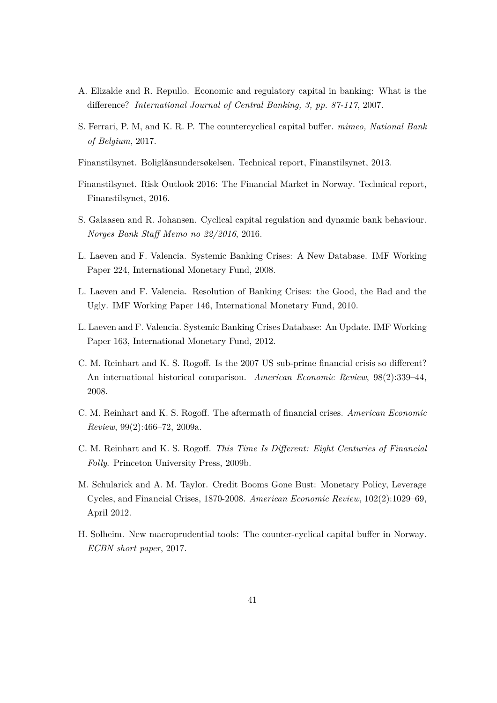- <span id="page-40-3"></span>A. Elizalde and R. Repullo. Economic and regulatory capital in banking: What is the difference? *International Journal of Central Banking, 3, pp. 87-117*, 2007.
- <span id="page-40-0"></span>S. Ferrari, P. M, and K. R. P. The countercyclical capital buffer. *mimeo, National Bank of Belgium*, 2017.
- <span id="page-40-12"></span>Finanstilsynet. Boliglånsundersøkelsen. Technical report, Finanstilsynet, 2013.
- <span id="page-40-11"></span>Finanstilsynet. Risk Outlook 2016: The Financial Market in Norway. Technical report, Finanstilsynet, 2016.
- <span id="page-40-2"></span>S. Galaasen and R. Johansen. Cyclical capital regulation and dynamic bank behaviour. *Norges Bank Staff Memo no 22/2016*, 2016.
- <span id="page-40-4"></span>L. Laeven and F. Valencia. Systemic Banking Crises: A New Database. IMF Working Paper 224, International Monetary Fund, 2008.
- <span id="page-40-5"></span>L. Laeven and F. Valencia. Resolution of Banking Crises: the Good, the Bad and the Ugly. IMF Working Paper 146, International Monetary Fund, 2010.
- <span id="page-40-6"></span>L. Laeven and F. Valencia. Systemic Banking Crises Database: An Update. IMF Working Paper 163, International Monetary Fund, 2012.
- <span id="page-40-7"></span>C. M. Reinhart and K. S. Rogoff. Is the 2007 US sub-prime financial crisis so different? An international historical comparison. *American Economic Review*, 98(2):339–44, 2008.
- <span id="page-40-8"></span>C. M. Reinhart and K. S. Rogoff. The aftermath of financial crises. *American Economic Review*, 99(2):466–72, 2009a.
- <span id="page-40-9"></span>C. M. Reinhart and K. S. Rogoff. *This Time Is Different: Eight Centuries of Financial Folly*. Princeton University Press, 2009b.
- <span id="page-40-10"></span>M. Schularick and A. M. Taylor. Credit Booms Gone Bust: Monetary Policy, Leverage Cycles, and Financial Crises, 1870-2008. *American Economic Review*, 102(2):1029–69, April 2012.
- <span id="page-40-1"></span>H. Solheim. New macroprudential tools: The counter-cyclical capital buffer in Norway. *ECBN short paper*, 2017.